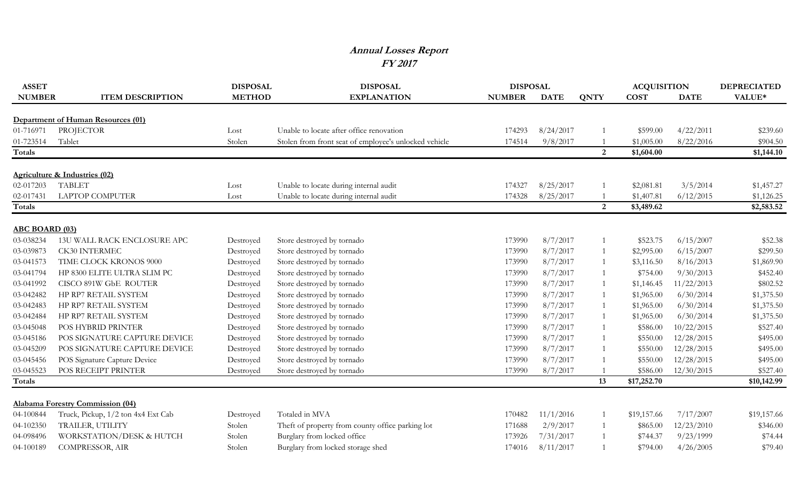## **Annual Losses Report FY 2017**

| <b>ASSET</b>          |                                    | <b>DISPOSAL</b> | <b>DISPOSAL</b>                                       | <b>DISPOSAL</b> |             |                | <b>ACQUISITION</b> |             | <b>DEPRECIATED</b> |
|-----------------------|------------------------------------|-----------------|-------------------------------------------------------|-----------------|-------------|----------------|--------------------|-------------|--------------------|
| <b>NUMBER</b>         | <b>ITEM DESCRIPTION</b>            | <b>METHOD</b>   | <b>EXPLANATION</b>                                    | <b>NUMBER</b>   | <b>DATE</b> | <b>QNTY</b>    | <b>COST</b>        | <b>DATE</b> | VALUE*             |
|                       |                                    |                 |                                                       |                 |             |                |                    |             |                    |
|                       | Department of Human Resources (01) |                 |                                                       |                 |             |                |                    |             |                    |
| 01-716971             | PROJECTOR                          | Lost            | Unable to locate after office renovation              | 174293          | 8/24/2017   |                | \$599.00           | 4/22/2011   | \$239.60           |
| 01-723514             | Tablet                             | Stolen          | Stolen from front seat of employee's unlocked vehicle | 174514          | 9/8/2017    |                | \$1,005.00         | 8/22/2016   | \$904.50           |
| Totals                |                                    |                 |                                                       |                 |             | $\overline{2}$ | \$1,604.00         |             | \$1,144.10         |
|                       | Agriculture & Industries (02)      |                 |                                                       |                 |             |                |                    |             |                    |
| 02-017203             | <b>TABLET</b>                      | Lost            | Unable to locate during internal audit                | 174327          | 8/25/2017   |                | \$2,081.81         | 3/5/2014    | \$1,457.27         |
| 02-017431             | <b>LAPTOP COMPUTER</b>             | Lost            | Unable to locate during internal audit                | 174328          | 8/25/2017   |                | \$1,407.81         | 6/12/2015   | \$1,126.25         |
| Totals                |                                    |                 |                                                       |                 |             | 2              | \$3,489.62         |             | \$2,583.52         |
| <b>ABC BOARD (03)</b> |                                    |                 |                                                       |                 |             |                |                    |             |                    |
| 03-038234             | 13U WALL RACK ENCLOSURE APC        | Destroyed       | Store destroyed by tornado                            | 173990          | 8/7/2017    |                | \$523.75           | 6/15/2007   | \$52.38            |
| 03-039873             | CK30 INTERMEC                      | Destroyed       | Store destroyed by tornado                            | 173990          | 8/7/2017    |                | \$2,995.00         | 6/15/2007   | \$299.50           |
| 03-041573             | TIME CLOCK KRONOS 9000             | Destroyed       | Store destroyed by tornado                            | 173990          | 8/7/2017    |                | \$3,116.50         | 8/16/2013   | \$1,869.90         |
| 03-041794             | HP 8300 ELITE ULTRA SLIM PC        | Destroyed       | Store destroyed by tornado                            | 173990          | 8/7/2017    |                | \$754.00           | 9/30/2013   | \$452.40           |
| 03-041992             | CISCO 891W GbE ROUTER              | Destroyed       | Store destroyed by tornado                            | 173990          | 8/7/2017    |                | \$1,146.45         | 11/22/2013  | \$802.52           |
| 03-042482             | HP RP7 RETAIL SYSTEM               | Destroyed       | Store destroyed by tornado                            | 173990          | 8/7/2017    |                | \$1,965.00         | 6/30/2014   | \$1,375.50         |
| 03-042483             | HP RP7 RETAIL SYSTEM               | Destroyed       | Store destroyed by tornado                            | 173990          | 8/7/2017    |                | \$1,965.00         | 6/30/2014   | \$1,375.50         |
| 03-042484             | HP RP7 RETAIL SYSTEM               | Destroyed       | Store destroyed by tornado                            | 173990          | 8/7/2017    |                | \$1,965.00         | 6/30/2014   | \$1,375.50         |
| 03-045048             | POS HYBRID PRINTER                 | Destroyed       | Store destroyed by tornado                            | 173990          | 8/7/2017    |                | \$586.00           | 10/22/2015  | \$527.40           |
| 03-045186             | POS SIGNATURE CAPTURE DEVICE       | Destroyed       | Store destroyed by tornado                            | 173990          | 8/7/2017    |                | \$550.00           | 12/28/2015  | \$495.00           |
| 03-045209             | POS SIGNATURE CAPTURE DEVICE       | Destroyed       | Store destroyed by tornado                            | 173990          | 8/7/2017    |                | \$550.00           | 12/28/2015  | \$495.00           |
| 03-045456             | POS Signature Capture Device       | Destroyed       | Store destroyed by tornado                            | 173990          | 8/7/2017    |                | \$550.00           | 12/28/2015  | \$495.00           |
| 03-045523             | POS RECEIPT PRINTER                | Destroyed       | Store destroyed by tornado                            | 173990          | 8/7/2017    |                | \$586.00           | 12/30/2015  | \$527.40           |
| Totals                |                                    |                 |                                                       |                 |             | 13             | \$17,252.70        |             | \$10,142.99        |
|                       |                                    |                 |                                                       |                 |             |                |                    |             |                    |
|                       | Alabama Forestry Commission (04)   |                 |                                                       |                 |             |                |                    |             |                    |
| 04-100844             | Truck, Pickup, 1/2 ton 4x4 Ext Cab | Destroyed       | Totaled in MVA                                        | 170482          | 11/1/2016   |                | \$19,157.66        | 7/17/2007   | \$19,157.66        |
| 04-102350             | TRAILER, UTILITY                   | Stolen          | Theft of property from county office parking lot      | 171688          | 2/9/2017    |                | \$865.00           | 12/23/2010  | \$346.00           |
| 04-098496             | WORKSTATION/DESK & HUTCH           | Stolen          | Burglary from locked office                           | 173926          | 7/31/2017   |                | \$744.37           | 9/23/1999   | \$74.44            |
| 04-100189             | COMPRESSOR, AIR                    | Stolen          | Burglary from locked storage shed                     | 174016          | 8/11/2017   |                | \$794.00           | 4/26/2005   | \$79.40            |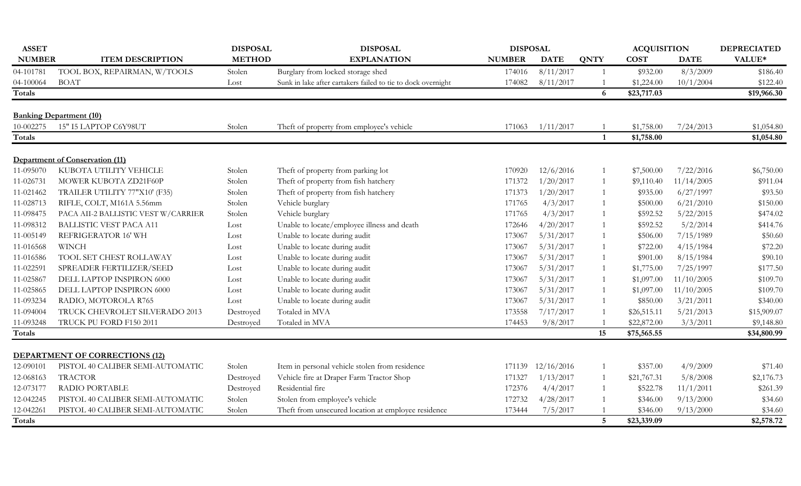| <b>ASSET</b>  |                                                         | <b>DISPOSAL</b> | <b>DISPOSAL</b>                                              | <b>DISPOSAL</b> |             |                 | <b>ACQUISITION</b> |             | <b>DEPRECIATED</b> |
|---------------|---------------------------------------------------------|-----------------|--------------------------------------------------------------|-----------------|-------------|-----------------|--------------------|-------------|--------------------|
| <b>NUMBER</b> | <b>ITEM DESCRIPTION</b>                                 | <b>METHOD</b>   | <b>EXPLANATION</b>                                           | <b>NUMBER</b>   | <b>DATE</b> | <b>QNTY</b>     | <b>COST</b>        | <b>DATE</b> | VALUE*             |
| 04-101781     | TOOL BOX, REPAIRMAN, W/TOOLS                            | Stolen          | Burglary from locked storage shed                            | 174016          | 8/11/2017   | $\overline{1}$  | \$932.00           | 8/3/2009    | \$186.40           |
| 04-100064     | <b>BOAT</b>                                             | Lost            | Sunk in lake after cartakers failed to tie to dock overnight | 174082          | 8/11/2017   |                 | \$1,224.00         | 10/1/2004   | \$122.40           |
| <b>Totals</b> |                                                         |                 |                                                              |                 |             | 6               | \$23,717.03        |             | \$19,966.30        |
|               |                                                         |                 |                                                              |                 |             |                 |                    |             |                    |
| 10-002275     | <b>Banking Department (10)</b><br>15" I5 LAPTOP C6Y98UT | Stolen          | Theft of property from employee's vehicle                    | 171063          | 1/11/2017   |                 | \$1,758.00         | 7/24/2013   | \$1,054.80         |
| <b>Totals</b> |                                                         |                 |                                                              |                 |             | 1               | \$1,758.00         |             | \$1,054.80         |
|               |                                                         |                 |                                                              |                 |             |                 |                    |             |                    |
|               | <b>Department of Conservation (11)</b>                  |                 |                                                              |                 |             |                 |                    |             |                    |
| 11-095070     | KUBOTA UTILITY VEHICLE                                  | Stolen          | Theft of property from parking lot                           | 170920          | 12/6/2016   |                 | \$7,500.00         | 7/22/2016   | \$6,750.00         |
| 11-026731     | MOWER KUBOTA ZD21F60P                                   | Stolen          | Theft of property from fish hatchery                         | 171372          | 1/20/2017   | -1              | \$9,110.40         | 11/14/2005  | \$911.04           |
| 11-021462     | TRAILER UTILITY 77"X10' (F35)                           | Stolen          | Theft of property from fish hatchery                         | 171373          | 1/20/2017   | 1               | \$935.00           | 6/27/1997   | \$93.50            |
| 11-028713     | RIFLE, COLT, M161A 5.56mm                               | Stolen          | Vehicle burglary                                             | 171765          | 4/3/2017    |                 | \$500.00           | 6/21/2010   | \$150.00           |
| 11-098475     | PACA AII-2 BALLISTIC VEST W/CARRIER                     | Stolen          | Vehicle burglary                                             | 171765          | 4/3/2017    |                 | \$592.52           | 5/22/2015   | \$474.02           |
| 11-098312     | <b>BALLISTIC VEST PACA A11</b>                          | Lost            | Unable to locate/employee illness and death                  | 172646          | 4/20/2017   |                 | \$592.52           | 5/2/2014    | \$414.76           |
| 11-005149     | REFRIGERATOR 16' WH                                     | Lost            | Unable to locate during audit                                | 173067          | 5/31/2017   |                 | \$506.00           | 7/15/1989   | \$50.60            |
| 11-016568     | <b>WINCH</b>                                            | Lost            | Unable to locate during audit                                | 173067          | 5/31/2017   |                 | \$722.00           | 4/15/1984   | \$72.20            |
| 11-016586     | TOOL SET CHEST ROLLAWAY                                 | Lost            | Unable to locate during audit                                | 173067          | 5/31/2017   |                 | \$901.00           | 8/15/1984   | \$90.10            |
| 11-022591     | SPREADER FERTILIZER/SEED                                | Lost            | Unable to locate during audit                                | 173067          | 5/31/2017   |                 | \$1,775.00         | 7/25/1997   | \$177.50           |
| 11-025867     | DELL LAPTOP INSPIRON 6000                               | Lost            | Unable to locate during audit                                | 173067          | 5/31/2017   |                 | \$1,097.00         | 11/10/2005  | \$109.70           |
| 11-025865     | DELL LAPTOP INSPIRON 6000                               | Lost            | Unable to locate during audit                                | 173067          | 5/31/2017   |                 | \$1,097.00         | 11/10/2005  | \$109.70           |
| 11-093234     | RADIO, MOTOROLA R765                                    | Lost            | Unable to locate during audit                                | 173067          | 5/31/2017   |                 | \$850.00           | 3/21/2011   | \$340.00           |
| 11-094004     | TRUCK CHEVROLET SILVERADO 2013                          | Destroyed       | Totaled in MVA                                               | 173558          | 7/17/2017   |                 | \$26,515.11        | 5/21/2013   | \$15,909.07        |
| 11-093248     | TRUCK PU FORD F150 2011                                 | Destroyed       | Totaled in MVA                                               | 174453          | 9/8/2017    |                 | \$22,872.00        | 3/3/2011    | \$9,148.80         |
| <b>Totals</b> |                                                         |                 |                                                              |                 |             | 15              | \$75,565.55        |             | \$34,800.99        |
|               | <b>DEPARTMENT OF CORRECTIONS (12)</b>                   |                 |                                                              |                 |             |                 |                    |             |                    |
|               |                                                         |                 |                                                              |                 |             |                 |                    |             |                    |
| 12-090101     | PISTOL 40 CALIBER SEMI-AUTOMATIC                        | Stolen          | Item in personal vehicle stolen from residence               | 171139          | 12/16/2016  | 1               | \$357.00           | 4/9/2009    | \$71.40            |
| 12-068163     | <b>TRACTOR</b>                                          | Destroyed       | Vehicle fire at Draper Farm Tractor Shop                     | 171327          | 1/13/2017   | $\mathbf{1}$    | \$21,767.31        | 5/8/2008    | \$2,176.73         |
| 12-073177     | RADIO PORTABLE                                          | Destroyed       | Residential fire                                             | 172376          | 4/4/2017    |                 | \$522.78           | 11/1/2011   | \$261.39           |
| 12-042245     | PISTOL 40 CALIBER SEMI-AUTOMATIC                        | Stolen          | Stolen from employee's vehicle                               | 172732          | 4/28/2017   |                 | \$346.00           | 9/13/2000   | \$34.60            |
| 12-042261     | PISTOL 40 CALIBER SEMI-AUTOMATIC                        | Stolen          | Theft from unsecured location at employee residence          | 173444          | 7/5/2017    |                 | \$346.00           | 9/13/2000   | \$34.60            |
| Totals        |                                                         |                 |                                                              |                 |             | $5\phantom{.0}$ | \$23,339.09        |             | \$2,578.72         |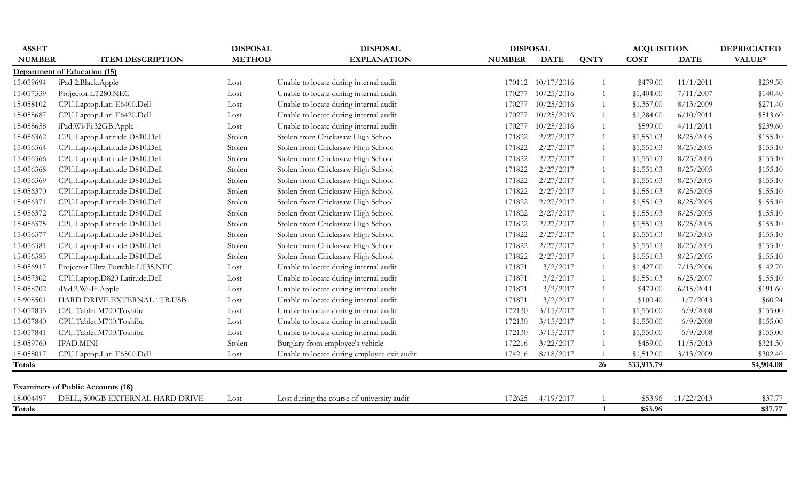| <b>ASSET</b>  |                                          | <b>DISPOSAL</b> | <b>DISPOSAL</b>                             | <b>DISPOSAL</b> |             |              | <b>ACQUISITION</b> |             | <b>DEPRECIATED</b> |
|---------------|------------------------------------------|-----------------|---------------------------------------------|-----------------|-------------|--------------|--------------------|-------------|--------------------|
| <b>NUMBER</b> | <b>ITEM DESCRIPTION</b>                  | <b>METHOD</b>   | <b>EXPLANATION</b>                          | <b>NUMBER</b>   | <b>DATE</b> | <b>QNTY</b>  | <b>COST</b>        | <b>DATE</b> | VALUE*             |
|               | Department of Education (15)             |                 |                                             |                 |             |              |                    |             |                    |
| 15-059694     | iPad 2.Black.Apple                       | Lost            | Unable to locate during internal audit      | 170112          | 10/17/2016  |              | \$479.00           | 11/1/2011   | \$239.50           |
| 15-057339     | Projector.LT280.NEC                      | Lost            | Unable to locate during internal audit      | 170277          | 10/25/2016  |              | \$1,404.00         | 7/11/2007   | \$140.40           |
| 15-058102     | CPU.Laptop.Lati E6400.Dell               | Lost            | Unable to locate during internal audit      | 170277          | 10/25/2016  |              | \$1,357.00         | 8/13/2009   | \$271.40           |
| 15-058687     | CPU.Laptop.Lati E6420.Dell               | Lost            | Unable to locate during internal audit      | 170277          | 10/25/2016  |              | \$1,284.00         | 6/10/2011   | \$513.60           |
| 15-058658     | iPad.Wi-Fi.32GB.Apple                    | Lost            | Unable to locate during internal audit      | 170277          | 10/25/2016  |              | \$599.00           | 4/11/2011   | \$239.60           |
| 15-056362     | CPU.Laptop.Latitude D810.Dell            | Stolen          | Stolen from Chickasaw High School           | 171822          | 2/27/2017   |              | \$1,551.03         | 8/25/2005   | \$155.10           |
| 15-056364     | CPU.Laptop.Latitude D810.Dell            | Stolen          | Stolen from Chickasaw High School           | 171822          | 2/27/2017   |              | \$1,551.03         | 8/25/2005   | \$155.10           |
| 15-056366     | CPU.Laptop.Latitude D810.Dell            | Stolen          | Stolen from Chickasaw High School           | 171822          | 2/27/2017   |              | \$1,551.03         | 8/25/2005   | \$155.10           |
| 15-056368     | CPU.Laptop.Latitude D810.Dell            | Stolen          | Stolen from Chickasaw High School           | 171822          | 2/27/2017   |              | \$1,551.03         | 8/25/2005   | \$155.10           |
| 15-056369     | CPU.Laptop.Latitude D810.Dell            | Stolen          | Stolen from Chickasaw High School           | 171822          | 2/27/2017   |              | \$1,551.03         | 8/25/2005   | \$155.10           |
| 15-056370     | CPU.Laptop.Latitude D810.Dell            | Stolen          | Stolen from Chickasaw High School           | 171822          | 2/27/2017   |              | \$1,551.03         | 8/25/2005   | \$155.10           |
| 15-05637      | CPU.Laptop.Latitude D810.Dell            | Stolen          | Stolen from Chickasaw High School           | 171822          | 2/27/2017   |              | \$1,551.03         | 8/25/2005   | \$155.10           |
| 15-056372     | CPU.Laptop.Latitude D810.Dell            | Stolen          | Stolen from Chickasaw High School           | 171822          | 2/27/2017   |              | \$1,551.03         | 8/25/2005   | \$155.10           |
| 15-056375     | CPU.Laptop.Latitude D810.Dell            | Stolen          | Stolen from Chickasaw High School           | 171822          | 2/27/2017   |              | \$1,551.03         | 8/25/2005   | \$155.10           |
| 15-056377     | CPU.Laptop.Latitude D810.Dell            | Stolen          | Stolen from Chickasaw High School           | 171822          | 2/27/2017   |              | \$1,551.03         | 8/25/2005   | \$155.10           |
| 15-056381     | CPU.Laptop.Latitude D810.Dell            | Stolen          | Stolen from Chickasaw High School           | 171822          | 2/27/2017   |              | \$1,551.03         | 8/25/2005   | \$155.10           |
| 15-056383     | CPU.Laptop.Latitude D810.Dell            | Stolen          | Stolen from Chickasaw High School           | 171822          | 2/27/2017   |              | \$1,551.03         | 8/25/2005   | \$155.10           |
| 15-056917     | Projector. Ultra Portable. LT35.NEC      | Lost            | Unable to locate during internal audit      | 171871          | 3/2/2017    |              | \$1,427.00         | 7/13/2006   | \$142.70           |
| 15-057302     | CPU.Laptop.D820 Latitude.Dell            | Lost            | Unable to locate during internal audit      | 171871          | 3/2/2017    |              | \$1,551.03         | 6/25/2007   | \$155.10           |
| 15-058702     | iPad.2.Wi-Fi.Apple                       | Lost            | Unable to locate during internal audit      | 171871          | 3/2/2017    |              | \$479.00           | 6/15/2011   | \$191.60           |
| 15-908501     | HARD DRIVE.EXTERNAL 1TB.USB              | Lost            | Unable to locate during internal audit      | 171871          | 3/2/2017    |              | \$100.40           | 1/7/2013    | \$60.24            |
| 15-057833     | CPU.Tablet.M700.Toshiba                  | Lost            | Unable to locate during internal audit      | 172130          | 3/15/2017   |              | \$1,550.00         | 6/9/2008    | \$155.00           |
| 15-057840     | CPU.Tablet.M700.Toshiba                  | Lost            | Unable to locate during internal audit      | 172130          | 3/15/2017   |              | \$1,550.00         | 6/9/2008    | \$155.00           |
| 15-057841     | CPU.Tablet.M700.Toshiba                  | Lost            | Unable to locate during internal audit      | 172130          | 3/15/2017   |              | \$1,550.00         | 6/9/2008    | \$155.00           |
| 15-059760     | <b>IPAD.MINI</b>                         | Stolen          | Burglary from employee's vehicle            | 172216          | 3/22/2017   |              | \$459.00           | 11/5/2013   | \$321.30           |
| 15-058017     | CPU.Laptop.Lati E6500.Dell               | Lost            | Unable to locate during employee exit audit | 174216          | 8/18/2017   |              | \$1,512.00         | 3/13/2009   | \$302.40           |
| Totals        |                                          |                 |                                             |                 |             | 26           | \$33,913.79        |             | \$4,904.08         |
|               |                                          |                 |                                             |                 |             |              |                    |             |                    |
|               | <b>Examiners of Public Accounts (18)</b> |                 |                                             |                 |             |              |                    |             |                    |
| 18-004497     | DELL, 500GB EXTERNAL HARD DRIVE          | Lost            | Lost during the course of university audit  | 172625          | 4/19/2017   |              | \$53.96            | 11/22/2013  | \$37.77            |
| Totals        |                                          |                 |                                             |                 |             | $\mathbf{1}$ | \$53.96            |             | \$37.77            |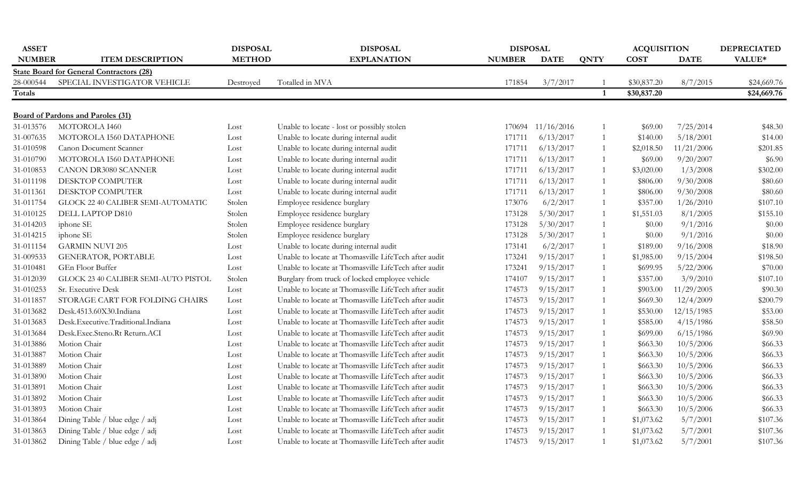| <b>ASSET</b>  |                                                 | <b>DISPOSAL</b> | <b>DISPOSAL</b>                                      | <b>DISPOSAL</b> |                   |              | <b>ACQUISITION</b> |             | <b>DEPRECIATED</b> |
|---------------|-------------------------------------------------|-----------------|------------------------------------------------------|-----------------|-------------------|--------------|--------------------|-------------|--------------------|
| <b>NUMBER</b> | <b>ITEM DESCRIPTION</b>                         | <b>METHOD</b>   | <b>EXPLANATION</b>                                   | <b>NUMBER</b>   | <b>DATE</b>       | <b>QNTY</b>  | <b>COST</b>        | <b>DATE</b> | VALUE*             |
|               | <b>State Board for General Contractors (28)</b> |                 |                                                      |                 |                   |              |                    |             |                    |
| 28-000544     | SPECIAL INVESTIGATOR VEHICLE                    | Destroyed       | Totalled in MVA                                      | 171854          | 3/7/2017          |              | \$30,837.20        | 8/7/2015    | \$24,669.76        |
| Totals        |                                                 |                 |                                                      |                 |                   |              | \$30,837.20        |             | \$24,669.76        |
|               |                                                 |                 |                                                      |                 |                   |              |                    |             |                    |
|               | <b>Board of Pardons and Paroles (31)</b>        |                 |                                                      |                 |                   |              |                    |             |                    |
| 31-013576     | MOTOROLA I460                                   | Lost            | Unable to locate - lost or possibly stolen           |                 | 170694 11/16/2016 | $\mathbf{1}$ | \$69.00            | 7/25/2014   | \$48.30            |
| 31-007635     | MOTOROLA I560 DATAPHONE                         | Lost            | Unable to locate during internal audit               | 171711          | 6/13/2017         | $\mathbf{1}$ | \$140.00           | 5/18/2001   | \$14.00            |
| 31-010598     | Canon Document Scanner                          | Lost            | Unable to locate during internal audit               | 171711          | 6/13/2017         | 1            | \$2,018.50         | 11/21/2006  | \$201.85           |
| 31-010790     | MOTOROLA I560 DATAPHONE                         | Lost            | Unable to locate during internal audit               | 171711          | 6/13/2017         | $\mathbf{1}$ | \$69.00            | 9/20/2007   | \$6.90             |
| 31-010853     | <b>CANON DR3080 SCANNER</b>                     | Lost            | Unable to locate during internal audit               | 171711          | 6/13/2017         | 1            | \$3,020.00         | 1/3/2008    | \$302.00           |
| 31-011198     | <b>DESKTOP COMPUTER</b>                         | Lost            | Unable to locate during internal audit               | 171711          | 6/13/2017         | $\mathbf{1}$ | \$806.00           | 9/30/2008   | \$80.60            |
| 31-011361     | DESKTOP COMPUTER                                | Lost            | Unable to locate during internal audit               | 171711          | 6/13/2017         | $\mathbf{1}$ | \$806.00           | 9/30/2008   | \$80.60            |
| 31-011754     | GLOCK 22 40 CALIBER SEMI-AUTOMATIC              | Stolen          | Employee residence burglary                          | 173076          | 6/2/2017          | 1            | \$357.00           | 1/26/2010   | \$107.10           |
| 31-010125     | DELL LAPTOP D810                                | Stolen          | Employee residence burglary                          | 173128          | 5/30/2017         | $\mathbf{1}$ | \$1,551.03         | 8/1/2005    | \$155.10           |
| 31-014203     | iphone SE                                       | Stolen          | Employee residence burglary                          | 173128          | 5/30/2017         | 1            | \$0.00             | 9/1/2016    | \$0.00             |
| 31-014215     | iphone SE                                       | Stolen          | Employee residence burglary                          | 173128          | 5/30/2017         | $\mathbf{1}$ | \$0.00             | 9/1/2016    | \$0.00             |
| 31-011154     | <b>GARMIN NUVI 205</b>                          | Lost            | Unable to locate during internal audit               | 173141          | 6/2/2017          | $\mathbf{1}$ | \$189.00           | 9/16/2008   | \$18.90            |
| 31-009533     | <b>GENERATOR, PORTABLE</b>                      | Lost            | Unable to locate at Thomasville LifeTech after audit | 173241          | 9/15/2017         | $\mathbf{1}$ | \$1,985.00         | 9/15/2004   | \$198.50           |
| 31-010481     | GEn Floor Buffer                                | Lost            | Unable to locate at Thomasville LifeTech after audit | 173241          | 9/15/2017         | $\mathbf{1}$ | \$699.95           | 5/22/2006   | \$70.00            |
| 31-012039     | GLOCK 23 40 CALIBER SEMI-AUTO PISTOL            | Stolen          | Burglary from truck of locked employee vehicle       | 174107          | 9/15/2017         | 1            | \$357.00           | 3/9/2010    | \$107.10           |
| 31-010253     | Sr. Executive Desk                              | Lost            | Unable to locate at Thomasville LifeTech after audit | 174573          | 9/15/2017         | $\mathbf{1}$ | \$903.00           | 11/29/2005  | \$90.30            |
| 31-011857     | STORAGE CART FOR FOLDING CHAIRS                 | Lost            | Unable to locate at Thomasville LifeTech after audit | 174573          | 9/15/2017         | $\mathbf{1}$ | \$669.30           | 12/4/2009   | \$200.79           |
| 31-013682     | Desk.4513.60X30.Indiana                         | Lost            | Unable to locate at Thomasville LifeTech after audit | 174573          | 9/15/2017         | 1            | \$530.00           | 12/15/1985  | \$53.00            |
| 31-013683     | Desk.Executive.Traditional.Indiana              | Lost            | Unable to locate at Thomasville LifeTech after audit | 174573          | 9/15/2017         | $\mathbf{1}$ | \$585.00           | 4/15/1986   | \$58.50            |
| 31-013684     | Desk.Exec.Steno.Rt Return.ACI                   | Lost            | Unable to locate at Thomasville LifeTech after audit | 174573          | 9/15/2017         | $\mathbf{1}$ | \$699.00           | 6/15/1986   | \$69.90            |
| 31-013886     | Motion Chair                                    | Lost            | Unable to locate at Thomasville LifeTech after audit | 174573          | 9/15/2017         | 1            | \$663.30           | 10/5/2006   | \$66.33            |
| 31-013887     | Motion Chair                                    | Lost            | Unable to locate at Thomasville LifeTech after audit | 174573          | 9/15/2017         | $\mathbf{1}$ | \$663.30           | 10/5/2006   | \$66.33            |
| 31-013889     | Motion Chair                                    | Lost            | Unable to locate at Thomasville LifeTech after audit | 174573          | 9/15/2017         | 1            | \$663.30           | 10/5/2006   | \$66.33            |
| 31-013890     | Motion Chair                                    | Lost            | Unable to locate at Thomasville LifeTech after audit | 174573          | 9/15/2017         | 1            | \$663.30           | 10/5/2006   | \$66.33            |
| 31-013891     | Motion Chair                                    | Lost            | Unable to locate at Thomasville LifeTech after audit | 174573          | 9/15/2017         | 1            | \$663.30           | 10/5/2006   | \$66.33            |
| 31-013892     | Motion Chair                                    | Lost            | Unable to locate at Thomasville LifeTech after audit | 174573          | 9/15/2017         | 1            | \$663.30           | 10/5/2006   | \$66.33            |
| 31-013893     | Motion Chair                                    | Lost            | Unable to locate at Thomasville LifeTech after audit | 174573          | 9/15/2017         | 1            | \$663.30           | 10/5/2006   | \$66.33            |
| 31-013864     | Dining Table / blue edge / adj                  | Lost            | Unable to locate at Thomasville LifeTech after audit | 174573          | 9/15/2017         | 1            | \$1,073.62         | 5/7/2001    | \$107.36           |
| 31-013863     | Dining Table / blue edge / adj                  | Lost            | Unable to locate at Thomasville LifeTech after audit | 174573          | 9/15/2017         |              | \$1,073.62         | 5/7/2001    | \$107.36           |
| 31-013862     | Dining Table / blue edge / adj                  |                 | Unable to locate at Thomasville LifeTech after audit | 174573          | 9/15/2017         | $\mathbf{1}$ | \$1,073.62         | 5/7/2001    | \$107.36           |
|               |                                                 | Lost            |                                                      |                 |                   |              |                    |             |                    |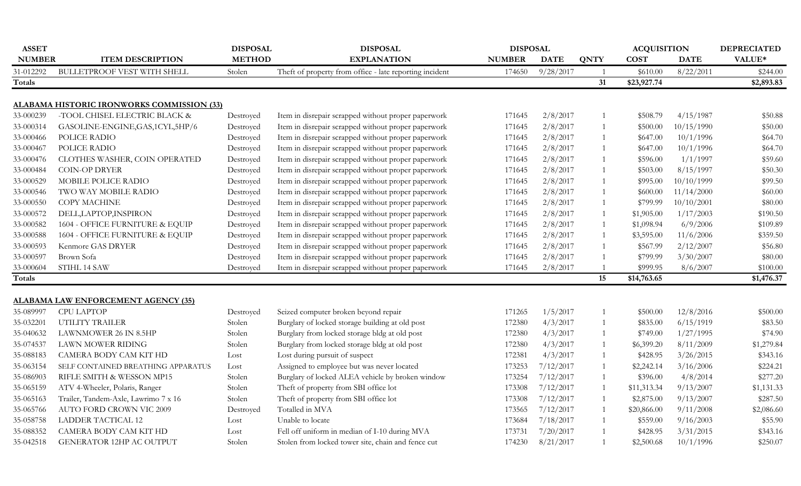| <b>ASSET</b>  |                                                   | <b>DISPOSAL</b> | <b>DISPOSAL</b>                                         | <b>DISPOSAL</b> |             |                | <b>ACQUISITION</b> |             | <b>DEPRECIATED</b> |
|---------------|---------------------------------------------------|-----------------|---------------------------------------------------------|-----------------|-------------|----------------|--------------------|-------------|--------------------|
| <b>NUMBER</b> | <b>ITEM DESCRIPTION</b>                           | <b>METHOD</b>   | <b>EXPLANATION</b>                                      | <b>NUMBER</b>   | <b>DATE</b> | <b>QNTY</b>    | <b>COST</b>        | <b>DATE</b> | VALUE*             |
| 31-012292     | <b>BULLETPROOF VEST WITH SHELL</b>                | Stolen          | Theft of property from office - late reporting incident | 174650          | 9/28/2017   |                | \$610.00           | 8/22/2011   | \$244.00           |
| Totals        |                                                   |                 |                                                         |                 |             | 31             | \$23,927.74        |             | \$2,893.83         |
|               |                                                   |                 |                                                         |                 |             |                |                    |             |                    |
|               | <b>ALABAMA HISTORIC IRONWORKS COMMISSION (33)</b> |                 |                                                         |                 |             |                |                    |             |                    |
| 33-000239     | -TOOL CHISEL ELECTRIC BLACK &                     | Destroyed       | Item in disrepair scrapped without proper paperwork     | 171645          | 2/8/2017    |                | \$508.79           | 4/15/1987   | \$50.88            |
| 33-000314     | GASOLINE-ENGINE, GAS, 1CYL, 5HP/6                 | Destroyed       | Item in disrepair scrapped without proper paperwork     | 171645          | 2/8/2017    | 1              | \$500.00           | 10/15/1990  | \$50.00            |
| 33-000466     | POLICE RADIO                                      | Destroyed       | Item in disrepair scrapped without proper paperwork     | 171645          | 2/8/2017    | 1              | \$647.00           | 10/1/1996   | \$64.70            |
| 33-000467     | POLICE RADIO                                      | Destroyed       | Item in disrepair scrapped without proper paperwork     | 171645          | 2/8/2017    | 1              | \$647.00           | 10/1/1996   | \$64.70            |
| 33-000476     | CLOTHES WASHER, COIN OPERATED                     | Destroyed       | Item in disrepair scrapped without proper paperwork     | 171645          | 2/8/2017    | 1              | \$596.00           | 1/1/1997    | \$59.60            |
| 33-000484     | <b>COIN-OP DRYER</b>                              | Destroyed       | Item in disrepair scrapped without proper paperwork     | 171645          | 2/8/2017    | 1              | \$503.00           | 8/15/1997   | \$50.30            |
| 33-000529     | MOBILE POLICE RADIO                               | Destroyed       | Item in disrepair scrapped without proper paperwork     | 171645          | 2/8/2017    | 1              | \$995.00           | 10/10/1999  | \$99.50            |
| 33-000546     | TWO WAY MOBILE RADIO                              | Destroyed       | Item in disrepair scrapped without proper paperwork     | 171645          | 2/8/2017    | 1              | \$600.00           | 11/14/2000  | \$60.00            |
| 33-000550     | <b>COPY MACHINE</b>                               | Destroyed       | Item in disrepair scrapped without proper paperwork     | 171645          | 2/8/2017    | 1              | \$799.99           | 10/10/2001  | \$80.00            |
| 33-000572     | DELL, LAPTOP, INSPIRON                            | Destroyed       | Item in disrepair scrapped without proper paperwork     | 171645          | 2/8/2017    | $\mathbf{1}$   | \$1,905.00         | 1/17/2003   | \$190.50           |
| 33-000582     | 1604 - OFFICE FURNITURE & EQUIP                   | Destroyed       | Item in disrepair scrapped without proper paperwork     | 171645          | 2/8/2017    | 1              | \$1,098.94         | 6/9/2006    | \$109.89           |
| 33-000588     | 1604 - OFFICE FURNITURE & EQUIP                   | Destroyed       | Item in disrepair scrapped without proper paperwork     | 171645          | 2/8/2017    | 1              | \$3,595.00         | 11/6/2006   | \$359.50           |
| 33-000593     | Kenmore GAS DRYER                                 | Destroyed       | Item in disrepair scrapped without proper paperwork     | 171645          | 2/8/2017    | $\overline{1}$ | \$567.99           | 2/12/2007   | \$56.80            |
| 33-000597     | Brown Sofa                                        | Destroyed       | Item in disrepair scrapped without proper paperwork     | 171645          | 2/8/2017    |                | \$799.99           | 3/30/2007   | \$80.00            |
| 33-000604     | STIHL 14 SAW                                      | Destroyed       | Item in disrepair scrapped without proper paperwork     | 171645          | 2/8/2017    |                | \$999.95           | 8/6/2007    | \$100.00           |
| Totals        |                                                   |                 |                                                         |                 |             | 15             | \$14,763.65        |             | \$1,476.37         |
|               |                                                   |                 |                                                         |                 |             |                |                    |             |                    |
|               | <b>ALABAMA LAW ENFORCEMENT AGENCY (35)</b>        |                 |                                                         |                 |             |                |                    |             |                    |
| 35-089997     | CPU LAPTOP                                        | Destroyed       | Seized computer broken beyond repair                    | 171265          | 1/5/2017    | $\mathbf{1}$   | \$500.00           | 12/8/2016   | \$500.00           |
| 35-032201     | UTILITY TRAILER                                   | Stolen          | Burglary of locked storage building at old post         | 172380          | 4/3/2017    | 1              | \$835.00           | 6/15/1919   | \$83.50            |
| 35-040632     | LAWNMOWER 26 IN 8.5HP                             | Stolen          | Burglary from locked storage bldg at old post           | 172380          | 4/3/2017    | 1              | \$749.00           | 1/27/1995   | \$74.90            |
| 35-074537     | LAWN MOWER RIDING                                 | Stolen          | Burglary from locked storage bldg at old post           | 172380          | 4/3/2017    | 1              | \$6,399.20         | 8/11/2009   | \$1,279.84         |
| 35-088183     | CAMERA BODY CAM KIT HD                            | Lost            | Lost during pursuit of suspect                          | 172381          | 4/3/2017    | 1              | \$428.95           | 3/26/2015   | \$343.16           |
| 35-063154     | SELF CONTAINED BREATHING APPARATUS                | Lost            | Assigned to employee but was never located              | 173253          | 7/12/2017   | 1              | \$2,242.14         | 3/16/2006   | \$224.21           |
| 35-086903     | RIFLE SMITH & WESSON MP15                         | Stolen          | Burglary of locked ALEA vehicle by broken window        | 173254          | 7/12/2017   | 1              | \$396.00           | 4/8/2014    | \$277.20           |
| 35-065159     | ATV 4-Wheeler, Polaris, Ranger                    | Stolen          | Theft of property from SBI office lot                   | 173308          | 7/12/2017   | 1              | \$11,313.34        | 9/13/2007   | \$1,131.33         |
| 35-065163     | Trailer, Tandem-Axle, Lawrimo 7 x 16              | Stolen          | Theft of property from SBI office lot                   | 173308          | 7/12/2017   | 1              | \$2,875.00         | 9/13/2007   | \$287.50           |
| 35-065766     | AUTO FORD CROWN VIC 2009                          | Destroyed       | Totalled in MVA                                         | 173565          | 7/12/2017   | 1              | \$20,866.00        | 9/11/2008   | \$2,086.60         |
| 35-058758     | <b>LADDER TACTICAL 12</b>                         | Lost            | Unable to locate                                        | 173684          | 7/18/2017   | 1              | \$559.00           | 9/16/2003   | \$55.90            |
| 35-088352     | CAMERA BODY CAM KIT HD                            | Lost            | Fell off uniform in median of I-10 during MVA           | 173731          | 7/20/2017   |                | \$428.95           | 3/31/2015   | \$343.16           |
| 35-042518     | <b>GENERATOR 12HP AC OUTPUT</b>                   | Stolen          | Stolen from locked tower site, chain and fence cut      | 174230          | 8/21/2017   | $\overline{1}$ | \$2,500.68         | 10/1/1996   | \$250.07           |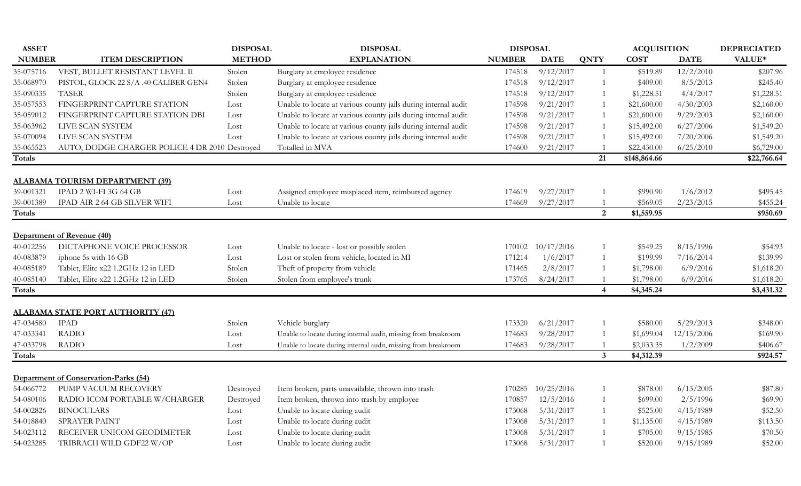| <b>ASSET</b>  |                                                          | <b>DISPOSAL</b> | <b>DISPOSAL</b>                                                | <b>DISPOSAL</b> |             |                | <b>ACQUISITION</b> |             | <b>DEPRECIATED</b> |
|---------------|----------------------------------------------------------|-----------------|----------------------------------------------------------------|-----------------|-------------|----------------|--------------------|-------------|--------------------|
| <b>NUMBER</b> | <b>ITEM DESCRIPTION</b>                                  | <b>METHOD</b>   | <b>EXPLANATION</b>                                             | <b>NUMBER</b>   | <b>DATE</b> | <b>QNTY</b>    | <b>COST</b>        | <b>DATE</b> | VALUE*             |
| 35-075716     | VEST, BULLET RESISTANT LEVEL II                          | Stolen          | Burglary at employee residence                                 | 174518          | 9/12/2017   | 1              | \$519.89           | 12/2/2010   | \$207.96           |
| 35-068970     | PISTOL, GLOCK 22 S/A .40 CALIBER GEN4                    | Stolen          | Burglary at employee residence                                 | 174518          | 9/12/2017   | 1              | \$409.00           | 8/5/2013    | \$245.40           |
| 35-090335     | <b>TASER</b>                                             | Stolen          | Burglary at employee residence                                 | 174518          | 9/12/2017   | 1              | \$1,228.51         | 4/4/2017    | \$1,228.51         |
| 35-057553     | FINGERPRINT CAPTURE STATION                              | Lost            | Unable to locate at various county jails during internal audit | 174598          | 9/21/2017   | 1              | \$21,600.00        | 4/30/2003   | \$2,160.00         |
| 35-059012     | FINGERPRINT CAPTURE STATION DBI                          | Lost            | Unable to locate at various county jails during internal audit | 174598          | 9/21/2017   | 1              | \$21,600.00        | 9/29/2003   | \$2,160.00         |
| 35-063962     | LIVE SCAN SYSTEM                                         | Lost            | Unable to locate at various county jails during internal audit | 174598          | 9/21/2017   | 1              | \$15,492.00        | 6/27/2006   | \$1,549.20         |
| 35-070094     | LIVE SCAN SYSTEM                                         | Lost            | Unable to locate at various county jails during internal audit | 174598          | 9/21/2017   | 1              | \$15,492.00        | 7/20/2006   | \$1,549.20         |
| 35-065523     | AUTO, DODGE CHARGER POLICE 4 DR 2010 Destroyed           |                 | Totalled in MVA                                                | 174600          | 9/21/2017   | $\overline{1}$ | \$22,430.00        | 6/25/2010   | \$6,729.00         |
| Totals        |                                                          |                 |                                                                |                 |             | 21             | \$148,864.66       |             | \$22,766.64        |
|               | <b>ALABAMA TOURISM DEPARTMENT (39)</b>                   |                 |                                                                |                 |             |                |                    |             |                    |
| 39-001321     | IPAD 2 WI-FI 3G 64 GB                                    | Lost            | Assigned employee misplaced item, reimbursed agency            | 174619          | 9/27/2017   |                | \$990.90           | 1/6/2012    | \$495.45           |
| 39-001389     | IPAD AIR 2 64 GB SILVER WIFI                             | Lost            | Unable to locate                                               | 174669          | 9/27/2017   | $\mathbf{1}$   | \$569.05           | 2/23/2015   | \$455.24           |
| Totals        |                                                          |                 |                                                                |                 |             | 2              | \$1,559.95         |             | \$950.69           |
|               |                                                          |                 |                                                                |                 |             |                |                    |             |                    |
|               | Department of Revenue (40)<br>DICTAPHONE VOICE PROCESSOR |                 |                                                                |                 |             |                |                    | 8/15/1996   |                    |
| 40-012256     |                                                          | Lost            | Unable to locate - lost or possibly stolen                     | 170102          | 10/17/2016  | $\overline{1}$ | \$549.25           |             | \$54.93            |
| 40-083879     | iphone 5s with 16 GB                                     | Lost            | Lost or stolen from vehicle, located in MI                     | 171214          | 1/6/2017    | 1              | \$199.99           | 7/16/2014   | \$139.99           |
| 40-085189     | Tablet, Elite x22 1.2GHz 12 in LED                       | Stolen          | Theft of property from vehicle                                 | 171465          | 2/8/2017    | 1              | \$1,798.00         | 6/9/2016    | \$1,618.20         |
| 40-085140     | Tablet, Elite x22 1.2GHz 12 in LED                       | Stolen          | Stolen from employee's trunk                                   | 173765          | 8/24/2017   |                | \$1,798.00         | 6/9/2016    | \$1,618.20         |
| Totals        |                                                          |                 |                                                                |                 |             | $\overline{4}$ | \$4,345.24         |             | \$3,431.32         |
|               | <b>ALABAMA STATE PORT AUTHORITY (47)</b>                 |                 |                                                                |                 |             |                |                    |             |                    |
| 47-034580     | <b>IPAD</b>                                              | Stolen          | Vehicle burglary                                               | 173320          | 6/21/2017   |                | \$580.00           | 5/29/2013   | \$348.00           |
| 47-033341     | <b>RADIO</b>                                             | Lost            | Unable to locate during internal audit, missing from breakroom | 174683          | 9/28/2017   | 1              | \$1,699.04         | 12/15/2006  | \$169.90           |
| 47-033798     | <b>RADIO</b>                                             | Lost            | Unable to locate during internal audit, missing from breakroom | 174683          | 9/28/2017   |                | \$2,033.35         | 1/2/2009    | \$406.67           |
| Totals        |                                                          |                 |                                                                |                 |             | $\mathbf{3}$   | \$4,312.39         |             | \$924.57           |
|               | Department of Conservation-Parks (54)                    |                 |                                                                |                 |             |                |                    |             |                    |
| 54-066772     | PUMP VACUUM RECOVERY                                     | Destroyed       | Item broken, parts unavailable, thrown into trash              | 170285          | 10/25/2016  | $\overline{1}$ | \$878.00           | 6/13/2005   | \$87.80            |
| 54-080106     | RADIO ICOM PORTABLE W/CHARGER                            | Destroyed       | Item broken, thrown into trash by employee                     | 170857          | 12/5/2016   | 1              | \$699.00           | 2/5/1996    | \$69.90            |
| 54-002826     | <b>BINOCULARS</b>                                        | Lost            | Unable to locate during audit                                  | 173068          | 5/31/2017   | 1              | \$525.00           | 4/15/1989   | \$52.50            |
| 54-018840     | SPRAYER PAINT                                            | Lost            | Unable to locate during audit                                  | 173068          | 5/31/2017   | 1              | \$1,135.00         | 4/15/1989   | \$113.50           |
| 54-023112     | RECEIVER UNICOM GEODIMETER                               | Lost            | Unable to locate during audit                                  | 173068          | 5/31/2017   |                | \$705.00           | 9/15/1985   | \$70.50            |
| 54-023285     | TRIBRACH WILD GDF22 W/OP                                 | Lost            | Unable to locate during audit                                  | 173068          | 5/31/2017   | $\overline{1}$ | \$520.00           | 9/15/1989   | \$52.00            |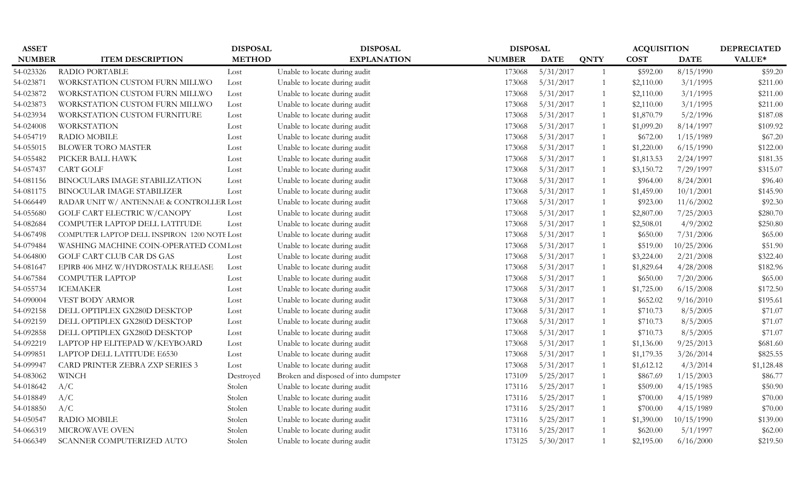| <b>ASSET</b>  |                                              | <b>DISPOSAL</b> | <b>DISPOSAL</b>                      | <b>DISPOSAL</b> |             |                | <b>ACQUISITION</b> |             | <b>DEPRECIATED</b> |
|---------------|----------------------------------------------|-----------------|--------------------------------------|-----------------|-------------|----------------|--------------------|-------------|--------------------|
| <b>NUMBER</b> | <b>ITEM DESCRIPTION</b>                      | <b>METHOD</b>   | <b>EXPLANATION</b>                   | <b>NUMBER</b>   | <b>DATE</b> | <b>QNTY</b>    | <b>COST</b>        | <b>DATE</b> | VALUE*             |
| 54-023326     | RADIO PORTABLE                               | Lost            | Unable to locate during audit        | 173068          | 5/31/2017   | $\overline{1}$ | \$592.00           | 8/15/1990   | \$59.20            |
| 54-023871     | WORKSTATION CUSTOM FURN MILLWO               | Lost            | Unable to locate during audit        | 173068          | 5/31/2017   | $\overline{1}$ | \$2,110.00         | 3/1/1995    | \$211.00           |
| 54-023872     | WORKSTATION CUSTOM FURN MILLWO               | Lost            | Unable to locate during audit        | 173068          | 5/31/2017   | $\overline{1}$ | \$2,110.00         | 3/1/1995    | \$211.00           |
| 54-023873     | WORKSTATION CUSTOM FURN MILLWO               | Lost            | Unable to locate during audit        | 173068          | 5/31/2017   | 1              | \$2,110.00         | 3/1/1995    | \$211.00           |
| 54-023934     | WORKSTATION CUSTOM FURNITURE                 | Lost            | Unable to locate during audit        | 173068          | 5/31/2017   | 1              | \$1,870.79         | 5/2/1996    | \$187.08           |
| 54-024008     | <b>WORKSTATION</b>                           | Lost            | Unable to locate during audit        | 173068          | 5/31/2017   | 1              | \$1,099.20         | 8/14/1997   | \$109.92           |
| 54-054719     | <b>RADIO MOBILE</b>                          | Lost            | Unable to locate during audit        | 173068          | 5/31/2017   | $\overline{1}$ | \$672.00           | 1/15/1989   | \$67.20            |
| 54-055015     | <b>BLOWER TORO MASTER</b>                    | Lost            | Unable to locate during audit        | 173068          | 5/31/2017   | $\overline{1}$ | \$1,220.00         | 6/15/1990   | \$122.00           |
| 54-055482     | PICKER BALL HAWK                             | Lost            | Unable to locate during audit        | 173068          | 5/31/2017   | 1              | \$1,813.53         | 2/24/1997   | \$181.35           |
| 54-057437     | <b>CART GOLF</b>                             | Lost            | Unable to locate during audit        | 173068          | 5/31/2017   | $\overline{1}$ | \$3,150.72         | 7/29/1997   | \$315.07           |
| 54-081156     | BINOCULARS IMAGE STABILIZATION               | Lost            | Unable to locate during audit        | 173068          | 5/31/2017   | $\overline{1}$ | \$964.00           | 8/24/2001   | \$96.40            |
| 54-081175     | BINOCULAR IMAGE STABILIZER                   | Lost            | Unable to locate during audit        | 173068          | 5/31/2017   | $\overline{1}$ | \$1,459.00         | 10/1/2001   | \$145.90           |
| 54-066449     | RADAR UNIT W/ ANTENNAE & CONTROLLER Lost     |                 | Unable to locate during audit        | 173068          | 5/31/2017   | $\overline{1}$ | \$923.00           | 11/6/2002   | \$92.30            |
| 54-055680     | GOLF CART ELECTRIC W/CANOPY                  | Lost            | Unable to locate during audit        | 173068          | 5/31/2017   | $\overline{1}$ | \$2,807.00         | 7/25/2003   | \$280.70           |
| 54-082684     | COMPUTER LAPTOP DELL LATITUDE                | Lost            | Unable to locate during audit        | 173068          | 5/31/2017   | 1              | \$2,508.01         | 4/9/2002    | \$250.80           |
| 54-067498     | COMPUTER LAPTOP DELL INSPIRON 1200 NOTE Lost |                 | Unable to locate during audit        | 173068          | 5/31/2017   | $\overline{1}$ | \$650.00           | 7/31/2006   | \$65.00            |
| 54-079484     | WASHING MACHINE COIN-OPERATED COMLost        |                 | Unable to locate during audit        | 173068          | 5/31/2017   | $\overline{1}$ | \$519.00           | 10/25/2006  | \$51.90            |
| 54-064800     | GOLF CART CLUB CAR DS GAS                    | Lost            | Unable to locate during audit        | 173068          | 5/31/2017   | $\overline{1}$ | \$3,224.00         | 2/21/2008   | \$322.40           |
| 54-081647     | EPIRB 406 MHZ W/HYDROSTALK RELEASE           | Lost            | Unable to locate during audit        | 173068          | 5/31/2017   | 1              | \$1,829.64         | 4/28/2008   | \$182.96           |
| 54-067584     | <b>COMPUTER LAPTOP</b>                       | Lost            | Unable to locate during audit        | 173068          | 5/31/2017   | 1              | \$650.00           | 7/20/2006   | \$65.00            |
| 54-055734     | <b>ICEMAKER</b>                              | Lost            | Unable to locate during audit        | 173068          | 5/31/2017   | 1              | \$1,725.00         | 6/15/2008   | \$172.50           |
| 54-090004     | VEST BODY ARMOR                              | Lost            | Unable to locate during audit        | 173068          | 5/31/2017   | $\overline{1}$ | \$652.02           | 9/16/2010   | \$195.61           |
| 54-092158     | DELL OPTIPLEX GX280D DESKTOP                 | Lost            | Unable to locate during audit        | 173068          | 5/31/2017   | $\overline{1}$ | \$710.73           | 8/5/2005    | \$71.07            |
| 54-092159     | DELL OPTIPLEX GX280D DESKTOP                 | Lost            | Unable to locate during audit        | 173068          | 5/31/2017   | 1              | \$710.73           | 8/5/2005    | \$71.07            |
| 54-092858     | DELL OPTIPLEX GX280D DESKTOP                 | Lost            | Unable to locate during audit        | 173068          | 5/31/2017   | $\overline{1}$ | \$710.73           | 8/5/2005    | \$71.07            |
| 54-092219     | LAPTOP HP ELITEPAD W/KEYBOARD                | Lost            | Unable to locate during audit        | 173068          | 5/31/2017   | 1              | \$1,136.00         | 9/25/2013   | \$681.60           |
| 54-099851     | LAPTOP DELL LATITUDE E6530                   | Lost            | Unable to locate during audit        | 173068          | 5/31/2017   | 1              | \$1,179.35         | 3/26/2014   | \$825.55           |
| 54-099947     | CARD PRINTER ZEBRA ZXP SERIES 3              | Lost            | Unable to locate during audit        | 173068          | 5/31/2017   | 1              | \$1,612.12         | 4/3/2014    | \$1,128.48         |
| 54-083062     | <b>WINCH</b>                                 | Destroyed       | Broken and disposed of into dumpster | 173109          | 5/25/2017   | $\overline{1}$ | \$867.69           | 1/15/2003   | \$86.77            |
| 54-018642     | A/C                                          | Stolen          | Unable to locate during audit        | 173116          | 5/25/2017   | 1              | \$509.00           | 4/15/1985   | \$50.90            |
| 54-018849     | A/C                                          | Stolen          | Unable to locate during audit        | 173116          | 5/25/2017   | 1              | \$700.00           | 4/15/1989   | \$70.00            |
| 54-018850     | A/C                                          | Stolen          | Unable to locate during audit        | 173116          | 5/25/2017   | $\overline{1}$ | \$700.00           | 4/15/1989   | \$70.00            |
| 54-050547     | <b>RADIO MOBILE</b>                          | Stolen          | Unable to locate during audit        | 173116          | 5/25/2017   | 1              | \$1,390.00         | 10/15/1990  | \$139.00           |
| 54-066319     | MICROWAVE OVEN                               | Stolen          | Unable to locate during audit        | 173116          | 5/25/2017   | $\overline{1}$ | \$620.00           | 5/1/1997    | \$62.00            |
| 54-066349     | SCANNER COMPUTERIZED AUTO                    | Stolen          | Unable to locate during audit        | 173125          | 5/30/2017   | $\overline{1}$ | \$2,195.00         | 6/16/2000   | \$219.50           |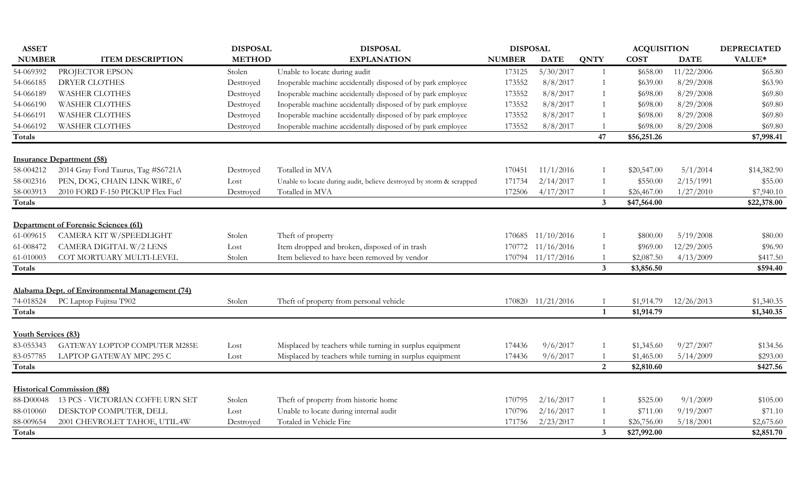| VALUE*<br><b>NUMBER</b><br><b>ITEM DESCRIPTION</b><br><b>METHOD</b><br><b>EXPLANATION</b><br><b>NUMBER</b><br><b>QNTY</b><br><b>COST</b><br><b>DATE</b><br><b>DATE</b><br>PROJECTOR EPSON<br>Unable to locate during audit<br>173125<br>5/30/2017<br>11/22/2006<br>Stolen<br>\$658.00<br>\$65.80<br>Inoperable machine accidentally disposed of by park employee<br>8/29/2008<br>DRYER CLOTHES<br>Destroyed<br>173552<br>8/8/2017<br>\$63.90<br>\$639.00<br>Inoperable machine accidentally disposed of by park employee<br>8/8/2017<br>8/29/2008<br><b>WASHER CLOTHES</b><br>173552<br>\$69.80<br>Destroyed<br>\$698.00<br>8/29/2008<br><b>WASHER CLOTHES</b><br>Inoperable machine accidentally disposed of by park employee<br>173552<br>8/8/2017<br>\$69.80<br>Destroyed<br>\$698.00<br><b>WASHER CLOTHES</b><br>Inoperable machine accidentally disposed of by park employee<br>173552<br>8/8/2017<br>8/29/2008<br>\$69.80<br>Destroyed<br>\$698.00<br>Inoperable machine accidentally disposed of by park employee<br>8/29/2008<br><b>WASHER CLOTHES</b><br>Destroyed<br>173552<br>8/8/2017<br>\$69.80<br>\$698.00<br>47<br>\$7,998.41<br>\$56,251.26<br><b>Insurance Department (58)</b><br>2014 Gray Ford Taurus, Tag #S6721A<br>Totalled in MVA<br>11/1/2016<br>5/1/2014<br>\$20,547.00<br>\$14,382.90<br>Destroyed<br>170451<br>PEN, DOG, CHAIN LINK WIRE, 6'<br>2/15/1991<br>171734<br>2/14/2017<br>\$550.00<br>\$55.00<br>Lost<br>Unable to locate during audit, believe destroyed by storm & scrapped<br>2010 FORD F-150 PICKUP Flex Fuel<br>Totalled in MVA<br>172506<br>4/17/2017<br>1/27/2010<br>\$7,940.10<br>Destroyed<br>\$26,467.00<br>$\mathbf{3}$<br>\$47,564.00<br>\$22,378.00<br><b>Department of Forensic Sciences (61)</b><br>CAMERA KIT W/SPEEDLIGHT<br>5/19/2008<br>61-009615<br>Stolen<br>Theft of property<br>170685 11/10/2016<br>\$800.00<br>\$80.00<br>CAMERA DIGITAL W/2 LENS<br>Item dropped and broken, disposed of in trash<br>12/29/2005<br>61-008472<br>Lost<br>170772 11/16/2016<br>\$969.00<br>\$96.90<br>61-010003<br>COT MORTUARY MULTI-LEVEL<br>Stolen<br>Item believed to have been removed by vendor<br>170794 11/17/2016<br>\$2,087.50<br>4/13/2009<br>\$417.50<br>$\mathbf{3}$<br>\$3,856.50<br>\$594.40<br>Totals<br>Alabama Dept. of Environmental Management (74)<br>PC Laptop Fujitsu T902<br>170820 11/21/2016<br>74-018524<br>\$1,914.79<br>12/26/2013<br>\$1,340.35<br>Stolen<br>Theft of property from personal vehicle<br>\$1,914.79<br>\$1,340.35<br>$\mathbf{1}$<br><b>Youth Services (83)</b><br>Misplaced by teachers while turning in surplus equipment<br>9/6/2017<br>9/27/2007<br>GATEWAY LOPTOP COMPUTER M285E<br>174436<br>\$1,345.60<br>\$134.56<br>Lost<br>Misplaced by teachers while turning in surplus equipment<br>9/6/2017<br>5/14/2009<br>LAPTOP GATEWAY MPC 295 C<br>174436<br>\$1,465.00<br>\$293.00<br>Lost<br>2<br>\$427.56<br>\$2,810.60<br><b>Historical Commission (88)</b><br>9/1/2009<br>88-D00048<br>13 PCS - VICTORIAN COFFE URN SET<br>Stolen<br>Theft of property from historic home<br>2/16/2017<br>\$525.00<br>\$105.00<br>170795<br>Unable to locate during internal audit<br>9/19/2007<br>88-010060<br>DESKTOP COMPUTER, DELL<br>2/16/2017<br>\$71.10<br>Lost<br>170796<br>\$711.00<br>88-009654<br>2001 CHEVROLET TAHOE, UTIL.4W<br>Totaled in Vehicle Fire<br>171756<br>2/23/2017<br>\$26,756.00<br>5/18/2001<br>\$2,675.60<br>Destroyed<br>$3\overline{3}$<br>\$27,992.00<br>\$2,851.70 | <b>ASSET</b> | <b>DISPOSAL</b> | <b>DISPOSAL</b> | <b>DISPOSAL</b> |  | <b>ACQUISITION</b> | <b>DEPRECIATED</b> |
|---------------------------------------------------------------------------------------------------------------------------------------------------------------------------------------------------------------------------------------------------------------------------------------------------------------------------------------------------------------------------------------------------------------------------------------------------------------------------------------------------------------------------------------------------------------------------------------------------------------------------------------------------------------------------------------------------------------------------------------------------------------------------------------------------------------------------------------------------------------------------------------------------------------------------------------------------------------------------------------------------------------------------------------------------------------------------------------------------------------------------------------------------------------------------------------------------------------------------------------------------------------------------------------------------------------------------------------------------------------------------------------------------------------------------------------------------------------------------------------------------------------------------------------------------------------------------------------------------------------------------------------------------------------------------------------------------------------------------------------------------------------------------------------------------------------------------------------------------------------------------------------------------------------------------------------------------------------------------------------------------------------------------------------------------------------------------------------------------------------------------------------------------------------------------------------------------------------------------------------------------------------------------------------------------------------------------------------------------------------------------------------------------------------------------------------------------------------------------------------------------------------------------------------------------------------------------------------------------------------------------------------------------------------------------------------------------------------------------------------------------------------------------------------------------------------------------------------------------------------------------------------------------------------------------------------------------------------------------------------------------------------------------------------------------------------------------------------------------------------------------------------------------------------------------------------------------------------------------------------------------------------------------------------------------------------------------------------------------------------------------------------------------------------------------------------------------------------------------------------|--------------|-----------------|-----------------|-----------------|--|--------------------|--------------------|
|                                                                                                                                                                                                                                                                                                                                                                                                                                                                                                                                                                                                                                                                                                                                                                                                                                                                                                                                                                                                                                                                                                                                                                                                                                                                                                                                                                                                                                                                                                                                                                                                                                                                                                                                                                                                                                                                                                                                                                                                                                                                                                                                                                                                                                                                                                                                                                                                                                                                                                                                                                                                                                                                                                                                                                                                                                                                                                                                                                                                                                                                                                                                                                                                                                                                                                                                                                                                                                                                                       |              |                 |                 |                 |  |                    |                    |
|                                                                                                                                                                                                                                                                                                                                                                                                                                                                                                                                                                                                                                                                                                                                                                                                                                                                                                                                                                                                                                                                                                                                                                                                                                                                                                                                                                                                                                                                                                                                                                                                                                                                                                                                                                                                                                                                                                                                                                                                                                                                                                                                                                                                                                                                                                                                                                                                                                                                                                                                                                                                                                                                                                                                                                                                                                                                                                                                                                                                                                                                                                                                                                                                                                                                                                                                                                                                                                                                                       | 54-069392    |                 |                 |                 |  |                    |                    |
|                                                                                                                                                                                                                                                                                                                                                                                                                                                                                                                                                                                                                                                                                                                                                                                                                                                                                                                                                                                                                                                                                                                                                                                                                                                                                                                                                                                                                                                                                                                                                                                                                                                                                                                                                                                                                                                                                                                                                                                                                                                                                                                                                                                                                                                                                                                                                                                                                                                                                                                                                                                                                                                                                                                                                                                                                                                                                                                                                                                                                                                                                                                                                                                                                                                                                                                                                                                                                                                                                       | 54-066185    |                 |                 |                 |  |                    |                    |
|                                                                                                                                                                                                                                                                                                                                                                                                                                                                                                                                                                                                                                                                                                                                                                                                                                                                                                                                                                                                                                                                                                                                                                                                                                                                                                                                                                                                                                                                                                                                                                                                                                                                                                                                                                                                                                                                                                                                                                                                                                                                                                                                                                                                                                                                                                                                                                                                                                                                                                                                                                                                                                                                                                                                                                                                                                                                                                                                                                                                                                                                                                                                                                                                                                                                                                                                                                                                                                                                                       | 54-066189    |                 |                 |                 |  |                    |                    |
|                                                                                                                                                                                                                                                                                                                                                                                                                                                                                                                                                                                                                                                                                                                                                                                                                                                                                                                                                                                                                                                                                                                                                                                                                                                                                                                                                                                                                                                                                                                                                                                                                                                                                                                                                                                                                                                                                                                                                                                                                                                                                                                                                                                                                                                                                                                                                                                                                                                                                                                                                                                                                                                                                                                                                                                                                                                                                                                                                                                                                                                                                                                                                                                                                                                                                                                                                                                                                                                                                       | 54-066190    |                 |                 |                 |  |                    |                    |
|                                                                                                                                                                                                                                                                                                                                                                                                                                                                                                                                                                                                                                                                                                                                                                                                                                                                                                                                                                                                                                                                                                                                                                                                                                                                                                                                                                                                                                                                                                                                                                                                                                                                                                                                                                                                                                                                                                                                                                                                                                                                                                                                                                                                                                                                                                                                                                                                                                                                                                                                                                                                                                                                                                                                                                                                                                                                                                                                                                                                                                                                                                                                                                                                                                                                                                                                                                                                                                                                                       | 54-066191    |                 |                 |                 |  |                    |                    |
|                                                                                                                                                                                                                                                                                                                                                                                                                                                                                                                                                                                                                                                                                                                                                                                                                                                                                                                                                                                                                                                                                                                                                                                                                                                                                                                                                                                                                                                                                                                                                                                                                                                                                                                                                                                                                                                                                                                                                                                                                                                                                                                                                                                                                                                                                                                                                                                                                                                                                                                                                                                                                                                                                                                                                                                                                                                                                                                                                                                                                                                                                                                                                                                                                                                                                                                                                                                                                                                                                       | 54-066192    |                 |                 |                 |  |                    |                    |
|                                                                                                                                                                                                                                                                                                                                                                                                                                                                                                                                                                                                                                                                                                                                                                                                                                                                                                                                                                                                                                                                                                                                                                                                                                                                                                                                                                                                                                                                                                                                                                                                                                                                                                                                                                                                                                                                                                                                                                                                                                                                                                                                                                                                                                                                                                                                                                                                                                                                                                                                                                                                                                                                                                                                                                                                                                                                                                                                                                                                                                                                                                                                                                                                                                                                                                                                                                                                                                                                                       | Totals       |                 |                 |                 |  |                    |                    |
|                                                                                                                                                                                                                                                                                                                                                                                                                                                                                                                                                                                                                                                                                                                                                                                                                                                                                                                                                                                                                                                                                                                                                                                                                                                                                                                                                                                                                                                                                                                                                                                                                                                                                                                                                                                                                                                                                                                                                                                                                                                                                                                                                                                                                                                                                                                                                                                                                                                                                                                                                                                                                                                                                                                                                                                                                                                                                                                                                                                                                                                                                                                                                                                                                                                                                                                                                                                                                                                                                       |              |                 |                 |                 |  |                    |                    |
|                                                                                                                                                                                                                                                                                                                                                                                                                                                                                                                                                                                                                                                                                                                                                                                                                                                                                                                                                                                                                                                                                                                                                                                                                                                                                                                                                                                                                                                                                                                                                                                                                                                                                                                                                                                                                                                                                                                                                                                                                                                                                                                                                                                                                                                                                                                                                                                                                                                                                                                                                                                                                                                                                                                                                                                                                                                                                                                                                                                                                                                                                                                                                                                                                                                                                                                                                                                                                                                                                       | 58-004212    |                 |                 |                 |  |                    |                    |
|                                                                                                                                                                                                                                                                                                                                                                                                                                                                                                                                                                                                                                                                                                                                                                                                                                                                                                                                                                                                                                                                                                                                                                                                                                                                                                                                                                                                                                                                                                                                                                                                                                                                                                                                                                                                                                                                                                                                                                                                                                                                                                                                                                                                                                                                                                                                                                                                                                                                                                                                                                                                                                                                                                                                                                                                                                                                                                                                                                                                                                                                                                                                                                                                                                                                                                                                                                                                                                                                                       | 58-002316    |                 |                 |                 |  |                    |                    |
|                                                                                                                                                                                                                                                                                                                                                                                                                                                                                                                                                                                                                                                                                                                                                                                                                                                                                                                                                                                                                                                                                                                                                                                                                                                                                                                                                                                                                                                                                                                                                                                                                                                                                                                                                                                                                                                                                                                                                                                                                                                                                                                                                                                                                                                                                                                                                                                                                                                                                                                                                                                                                                                                                                                                                                                                                                                                                                                                                                                                                                                                                                                                                                                                                                                                                                                                                                                                                                                                                       | 58-003913    |                 |                 |                 |  |                    |                    |
|                                                                                                                                                                                                                                                                                                                                                                                                                                                                                                                                                                                                                                                                                                                                                                                                                                                                                                                                                                                                                                                                                                                                                                                                                                                                                                                                                                                                                                                                                                                                                                                                                                                                                                                                                                                                                                                                                                                                                                                                                                                                                                                                                                                                                                                                                                                                                                                                                                                                                                                                                                                                                                                                                                                                                                                                                                                                                                                                                                                                                                                                                                                                                                                                                                                                                                                                                                                                                                                                                       | Totals       |                 |                 |                 |  |                    |                    |
|                                                                                                                                                                                                                                                                                                                                                                                                                                                                                                                                                                                                                                                                                                                                                                                                                                                                                                                                                                                                                                                                                                                                                                                                                                                                                                                                                                                                                                                                                                                                                                                                                                                                                                                                                                                                                                                                                                                                                                                                                                                                                                                                                                                                                                                                                                                                                                                                                                                                                                                                                                                                                                                                                                                                                                                                                                                                                                                                                                                                                                                                                                                                                                                                                                                                                                                                                                                                                                                                                       |              |                 |                 |                 |  |                    |                    |
|                                                                                                                                                                                                                                                                                                                                                                                                                                                                                                                                                                                                                                                                                                                                                                                                                                                                                                                                                                                                                                                                                                                                                                                                                                                                                                                                                                                                                                                                                                                                                                                                                                                                                                                                                                                                                                                                                                                                                                                                                                                                                                                                                                                                                                                                                                                                                                                                                                                                                                                                                                                                                                                                                                                                                                                                                                                                                                                                                                                                                                                                                                                                                                                                                                                                                                                                                                                                                                                                                       |              |                 |                 |                 |  |                    |                    |
|                                                                                                                                                                                                                                                                                                                                                                                                                                                                                                                                                                                                                                                                                                                                                                                                                                                                                                                                                                                                                                                                                                                                                                                                                                                                                                                                                                                                                                                                                                                                                                                                                                                                                                                                                                                                                                                                                                                                                                                                                                                                                                                                                                                                                                                                                                                                                                                                                                                                                                                                                                                                                                                                                                                                                                                                                                                                                                                                                                                                                                                                                                                                                                                                                                                                                                                                                                                                                                                                                       |              |                 |                 |                 |  |                    |                    |
|                                                                                                                                                                                                                                                                                                                                                                                                                                                                                                                                                                                                                                                                                                                                                                                                                                                                                                                                                                                                                                                                                                                                                                                                                                                                                                                                                                                                                                                                                                                                                                                                                                                                                                                                                                                                                                                                                                                                                                                                                                                                                                                                                                                                                                                                                                                                                                                                                                                                                                                                                                                                                                                                                                                                                                                                                                                                                                                                                                                                                                                                                                                                                                                                                                                                                                                                                                                                                                                                                       |              |                 |                 |                 |  |                    |                    |
|                                                                                                                                                                                                                                                                                                                                                                                                                                                                                                                                                                                                                                                                                                                                                                                                                                                                                                                                                                                                                                                                                                                                                                                                                                                                                                                                                                                                                                                                                                                                                                                                                                                                                                                                                                                                                                                                                                                                                                                                                                                                                                                                                                                                                                                                                                                                                                                                                                                                                                                                                                                                                                                                                                                                                                                                                                                                                                                                                                                                                                                                                                                                                                                                                                                                                                                                                                                                                                                                                       |              |                 |                 |                 |  |                    |                    |
|                                                                                                                                                                                                                                                                                                                                                                                                                                                                                                                                                                                                                                                                                                                                                                                                                                                                                                                                                                                                                                                                                                                                                                                                                                                                                                                                                                                                                                                                                                                                                                                                                                                                                                                                                                                                                                                                                                                                                                                                                                                                                                                                                                                                                                                                                                                                                                                                                                                                                                                                                                                                                                                                                                                                                                                                                                                                                                                                                                                                                                                                                                                                                                                                                                                                                                                                                                                                                                                                                       |              |                 |                 |                 |  |                    |                    |
|                                                                                                                                                                                                                                                                                                                                                                                                                                                                                                                                                                                                                                                                                                                                                                                                                                                                                                                                                                                                                                                                                                                                                                                                                                                                                                                                                                                                                                                                                                                                                                                                                                                                                                                                                                                                                                                                                                                                                                                                                                                                                                                                                                                                                                                                                                                                                                                                                                                                                                                                                                                                                                                                                                                                                                                                                                                                                                                                                                                                                                                                                                                                                                                                                                                                                                                                                                                                                                                                                       |              |                 |                 |                 |  |                    |                    |
|                                                                                                                                                                                                                                                                                                                                                                                                                                                                                                                                                                                                                                                                                                                                                                                                                                                                                                                                                                                                                                                                                                                                                                                                                                                                                                                                                                                                                                                                                                                                                                                                                                                                                                                                                                                                                                                                                                                                                                                                                                                                                                                                                                                                                                                                                                                                                                                                                                                                                                                                                                                                                                                                                                                                                                                                                                                                                                                                                                                                                                                                                                                                                                                                                                                                                                                                                                                                                                                                                       |              |                 |                 |                 |  |                    |                    |
|                                                                                                                                                                                                                                                                                                                                                                                                                                                                                                                                                                                                                                                                                                                                                                                                                                                                                                                                                                                                                                                                                                                                                                                                                                                                                                                                                                                                                                                                                                                                                                                                                                                                                                                                                                                                                                                                                                                                                                                                                                                                                                                                                                                                                                                                                                                                                                                                                                                                                                                                                                                                                                                                                                                                                                                                                                                                                                                                                                                                                                                                                                                                                                                                                                                                                                                                                                                                                                                                                       | Totals       |                 |                 |                 |  |                    |                    |
|                                                                                                                                                                                                                                                                                                                                                                                                                                                                                                                                                                                                                                                                                                                                                                                                                                                                                                                                                                                                                                                                                                                                                                                                                                                                                                                                                                                                                                                                                                                                                                                                                                                                                                                                                                                                                                                                                                                                                                                                                                                                                                                                                                                                                                                                                                                                                                                                                                                                                                                                                                                                                                                                                                                                                                                                                                                                                                                                                                                                                                                                                                                                                                                                                                                                                                                                                                                                                                                                                       |              |                 |                 |                 |  |                    |                    |
|                                                                                                                                                                                                                                                                                                                                                                                                                                                                                                                                                                                                                                                                                                                                                                                                                                                                                                                                                                                                                                                                                                                                                                                                                                                                                                                                                                                                                                                                                                                                                                                                                                                                                                                                                                                                                                                                                                                                                                                                                                                                                                                                                                                                                                                                                                                                                                                                                                                                                                                                                                                                                                                                                                                                                                                                                                                                                                                                                                                                                                                                                                                                                                                                                                                                                                                                                                                                                                                                                       | 83-055343    |                 |                 |                 |  |                    |                    |
|                                                                                                                                                                                                                                                                                                                                                                                                                                                                                                                                                                                                                                                                                                                                                                                                                                                                                                                                                                                                                                                                                                                                                                                                                                                                                                                                                                                                                                                                                                                                                                                                                                                                                                                                                                                                                                                                                                                                                                                                                                                                                                                                                                                                                                                                                                                                                                                                                                                                                                                                                                                                                                                                                                                                                                                                                                                                                                                                                                                                                                                                                                                                                                                                                                                                                                                                                                                                                                                                                       | 83-057785    |                 |                 |                 |  |                    |                    |
|                                                                                                                                                                                                                                                                                                                                                                                                                                                                                                                                                                                                                                                                                                                                                                                                                                                                                                                                                                                                                                                                                                                                                                                                                                                                                                                                                                                                                                                                                                                                                                                                                                                                                                                                                                                                                                                                                                                                                                                                                                                                                                                                                                                                                                                                                                                                                                                                                                                                                                                                                                                                                                                                                                                                                                                                                                                                                                                                                                                                                                                                                                                                                                                                                                                                                                                                                                                                                                                                                       | Totals       |                 |                 |                 |  |                    |                    |
|                                                                                                                                                                                                                                                                                                                                                                                                                                                                                                                                                                                                                                                                                                                                                                                                                                                                                                                                                                                                                                                                                                                                                                                                                                                                                                                                                                                                                                                                                                                                                                                                                                                                                                                                                                                                                                                                                                                                                                                                                                                                                                                                                                                                                                                                                                                                                                                                                                                                                                                                                                                                                                                                                                                                                                                                                                                                                                                                                                                                                                                                                                                                                                                                                                                                                                                                                                                                                                                                                       |              |                 |                 |                 |  |                    |                    |
|                                                                                                                                                                                                                                                                                                                                                                                                                                                                                                                                                                                                                                                                                                                                                                                                                                                                                                                                                                                                                                                                                                                                                                                                                                                                                                                                                                                                                                                                                                                                                                                                                                                                                                                                                                                                                                                                                                                                                                                                                                                                                                                                                                                                                                                                                                                                                                                                                                                                                                                                                                                                                                                                                                                                                                                                                                                                                                                                                                                                                                                                                                                                                                                                                                                                                                                                                                                                                                                                                       |              |                 |                 |                 |  |                    |                    |
|                                                                                                                                                                                                                                                                                                                                                                                                                                                                                                                                                                                                                                                                                                                                                                                                                                                                                                                                                                                                                                                                                                                                                                                                                                                                                                                                                                                                                                                                                                                                                                                                                                                                                                                                                                                                                                                                                                                                                                                                                                                                                                                                                                                                                                                                                                                                                                                                                                                                                                                                                                                                                                                                                                                                                                                                                                                                                                                                                                                                                                                                                                                                                                                                                                                                                                                                                                                                                                                                                       |              |                 |                 |                 |  |                    |                    |
|                                                                                                                                                                                                                                                                                                                                                                                                                                                                                                                                                                                                                                                                                                                                                                                                                                                                                                                                                                                                                                                                                                                                                                                                                                                                                                                                                                                                                                                                                                                                                                                                                                                                                                                                                                                                                                                                                                                                                                                                                                                                                                                                                                                                                                                                                                                                                                                                                                                                                                                                                                                                                                                                                                                                                                                                                                                                                                                                                                                                                                                                                                                                                                                                                                                                                                                                                                                                                                                                                       |              |                 |                 |                 |  |                    |                    |
|                                                                                                                                                                                                                                                                                                                                                                                                                                                                                                                                                                                                                                                                                                                                                                                                                                                                                                                                                                                                                                                                                                                                                                                                                                                                                                                                                                                                                                                                                                                                                                                                                                                                                                                                                                                                                                                                                                                                                                                                                                                                                                                                                                                                                                                                                                                                                                                                                                                                                                                                                                                                                                                                                                                                                                                                                                                                                                                                                                                                                                                                                                                                                                                                                                                                                                                                                                                                                                                                                       | Totals       |                 |                 |                 |  |                    |                    |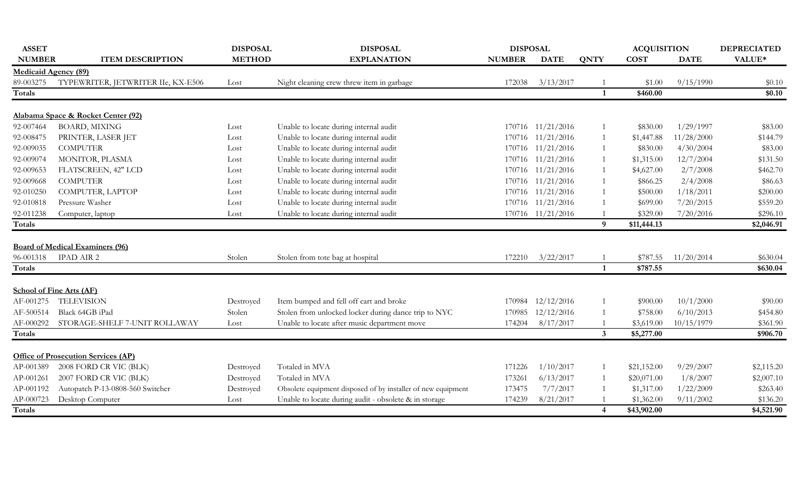| <b>ASSET</b>                |                                            | <b>DISPOSAL</b> | <b>DISPOSAL</b>                                              | <b>DISPOSAL</b> |                   |                | <b>ACQUISITION</b> |             | <b>DEPRECIATED</b> |
|-----------------------------|--------------------------------------------|-----------------|--------------------------------------------------------------|-----------------|-------------------|----------------|--------------------|-------------|--------------------|
| <b>NUMBER</b>               | <b>ITEM DESCRIPTION</b>                    | <b>METHOD</b>   | <b>EXPLANATION</b>                                           | <b>NUMBER</b>   | <b>DATE</b>       | <b>QNTY</b>    | <b>COST</b>        | <b>DATE</b> | VALUE*             |
| <b>Medicaid Agency (89)</b> |                                            |                 |                                                              |                 |                   |                |                    |             |                    |
| 89-003275                   | TYPEWRITER, JETWRITER IIe, KX-E506         | Lost            | Night cleaning crew threw item in garbage                    | 172038          | 3/13/2017         |                | \$1.00             | 9/15/1990   | \$0.10             |
| Totals                      |                                            |                 |                                                              |                 |                   |                | \$460.00           |             | \$0.10             |
|                             |                                            |                 |                                                              |                 |                   |                |                    |             |                    |
|                             | Alabama Space & Rocket Center (92)         |                 |                                                              |                 |                   |                |                    |             |                    |
| 92-007464                   | <b>BOARD, MIXING</b>                       | Lost            | Unable to locate during internal audit                       |                 | 170716 11/21/2016 |                | \$830.00           | 1/29/1997   | \$83.00            |
| 92-008475                   | PRINTER, LASER JET                         | Lost            | Unable to locate during internal audit                       |                 | 170716 11/21/2016 |                | \$1,447.88         | 11/28/2000  | \$144.79           |
| 92-009035                   | <b>COMPUTER</b>                            | Lost            | Unable to locate during internal audit                       |                 | 170716 11/21/2016 |                | \$830.00           | 4/30/2004   | \$83.00            |
| 92-009074                   | MONITOR, PLASMA                            | Lost            | Unable to locate during internal audit                       |                 | 170716 11/21/2016 |                | \$1,315.00         | 12/7/2004   | \$131.50           |
| 92-009653                   | FLATSCREEN, 42" LCD                        | Lost            | Unable to locate during internal audit                       |                 | 170716 11/21/2016 |                | \$4,627.00         | 2/7/2008    | \$462.70           |
| 92-009668                   | <b>COMPUTER</b>                            | Lost            | Unable to locate during internal audit                       |                 | 170716 11/21/2016 |                | \$866.25           | 2/4/2008    | \$86.63            |
| 92-010250                   | COMPUTER, LAPTOP                           | Lost            | Unable to locate during internal audit                       |                 | 170716 11/21/2016 |                | \$500.00           | 1/18/2011   | \$200.00           |
| 92-010818                   | Pressure Washer                            | Lost            | Unable to locate during internal audit                       |                 | 170716 11/21/2016 |                | \$699.00           | 7/20/2015   | \$559.20           |
| 92-011238                   | Computer, laptop                           | Lost            | Unable to locate during internal audit                       |                 | 170716 11/21/2016 |                | \$329.00           | 7/20/2016   | \$296.10           |
| Totals                      |                                            |                 |                                                              |                 |                   | 9              | \$11,444.13        |             | \$2,046.91         |
|                             |                                            |                 |                                                              |                 |                   |                |                    |             |                    |
|                             | <b>Board of Medical Examiners (96)</b>     |                 |                                                              |                 |                   |                |                    |             |                    |
| 96-001318                   | <b>IPAD AIR 2</b>                          | Stolen          | Stolen from tote bag at hospital                             | 172210          | 3/22/2017         |                | \$787.55           | 11/20/2014  | \$630.04           |
| Totals                      |                                            |                 |                                                              |                 |                   | $\mathbf{1}$   | \$787.55           |             | \$630.04           |
|                             |                                            |                 |                                                              |                 |                   |                |                    |             |                    |
|                             | <b>School of Fine Arts (AF)</b>            |                 |                                                              |                 |                   |                |                    |             |                    |
| AF-001275                   | <b>TELEVISION</b>                          | Destroyed       | Item bumped and fell off cart and broke                      | 170984          | 12/12/2016        |                | \$900.00           | 10/1/2000   | \$90.00            |
| AF-500514                   | Black 64GB iPad                            | Stolen          | Stolen from unlocked locker during dance trip to NYC         | 170985          | 12/12/2016        |                | \$758.00           | 6/10/2013   | \$454.80           |
|                             | AF-000292 STORAGE-SHELF 7-UNIT ROLLAWAY    | Lost            | Unable to locate after music department move                 | 174204          | 8/17/2017         |                | \$3,619.00         | 10/15/1979  | \$361.90           |
| Totals                      |                                            |                 |                                                              |                 |                   | $\mathbf{3}$   | \$5,277.00         |             | \$906.70           |
|                             |                                            |                 |                                                              |                 |                   |                |                    |             |                    |
|                             | <b>Office of Prosecution Services (AP)</b> |                 |                                                              |                 |                   |                |                    |             |                    |
| AP-001389                   | 2008 FORD CR VIC (BLK)                     | Destroyed       | Totaled in MVA                                               | 171226          | 1/10/2017         |                | \$21,152.00        | 9/29/2007   | \$2,115.20         |
| AP-001261                   | 2007 FORD CR VIC (BLK)                     | Destroyed       | Totaled in MVA                                               | 173261          | 6/13/2017         |                | \$20,071.00        | 1/8/2007    | \$2,007.10         |
| AP-001192                   | Autopatch P-13-0808-560 Switcher           | Destroyed       | Obsolete equipment disposed of by installer of new equipment | 173475          | 7/7/2017          |                | \$1,317.00         | 1/22/2009   | \$263.40           |
| AP-000723                   | Desktop Computer                           | Lost            | Unable to locate during audit - obsolete & in storage        | 174239          | 8/21/2017         |                | \$1,362.00         | 9/11/2002   | \$136.20           |
| Totals                      |                                            |                 |                                                              |                 |                   | $\overline{4}$ | \$43,902.00        |             | \$4,521.90         |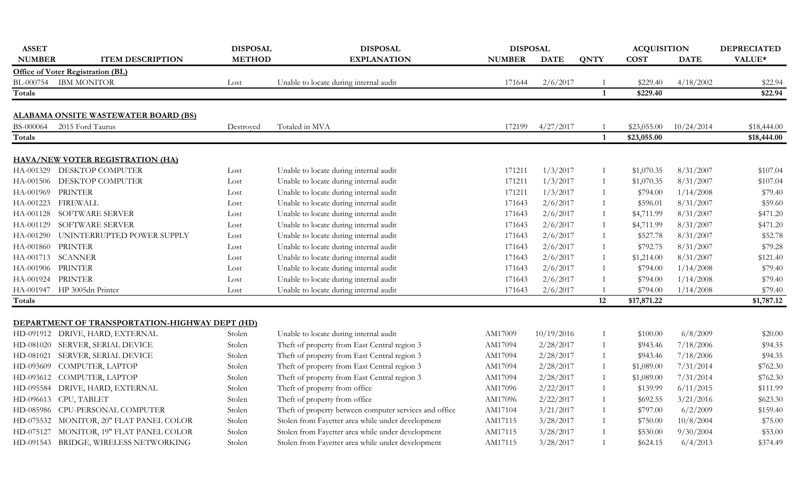| <b>ASSET</b>  |                                                | <b>DISPOSAL</b> | <b>DISPOSAL</b>                                        | <b>DISPOSAL</b> |             |              | <b>ACQUISITION</b> |             | <b>DEPRECIATED</b> |
|---------------|------------------------------------------------|-----------------|--------------------------------------------------------|-----------------|-------------|--------------|--------------------|-------------|--------------------|
| <b>NUMBER</b> | <b>ITEM DESCRIPTION</b>                        | <b>METHOD</b>   | <b>EXPLANATION</b>                                     | <b>NUMBER</b>   | <b>DATE</b> | <b>QNTY</b>  | <b>COST</b>        | <b>DATE</b> | VALUE*             |
|               | <b>Office of Voter Registration (BL)</b>       |                 |                                                        |                 |             |              |                    |             |                    |
|               | BL-000754 IBM MONITOR                          | Lost            | Unable to locate during internal audit                 | 171644          | 2/6/2017    |              | \$229.40           | 4/18/2002   | \$22.94            |
| <b>Totals</b> |                                                |                 |                                                        |                 |             | $\mathbf{1}$ | \$229.40           |             | \$22.94            |
|               | ALABAMA ONSITE WASTEWATER BOARD (BS)           |                 |                                                        |                 |             |              |                    |             |                    |
| BS-000064     | 2015 Ford Taurus                               | Destroyed       | Totaled in MVA                                         | 172199          | 4/27/2017   |              | \$23,055.00        | 10/24/2014  | \$18,444.00        |
| Totals        |                                                |                 |                                                        |                 |             | $\mathbf{1}$ | \$23,055.00        |             | \$18,444.00        |
|               | <b>HAVA/NEW VOTER REGISTRATION (HA)</b>        |                 |                                                        |                 |             |              |                    |             |                    |
| HA-001329     | DESKTOP COMPUTER                               | Lost            | Unable to locate during internal audit                 | 171211          | 1/3/2017    |              | \$1,070.35         | 8/31/2007   | \$107.04           |
|               | HA-001506 DESKTOP COMPUTER                     | Lost            | Unable to locate during internal audit                 | 171211          | 1/3/2017    |              | \$1,070.35         | 8/31/2007   | \$107.04           |
| HA-001969     | <b>PRINTER</b>                                 | Lost            | Unable to locate during internal audit                 | 171211          | 1/3/2017    |              | \$794.00           | 1/14/2008   | \$79.40            |
| HA-001223     | <b>FIREWALL</b>                                | Lost            | Unable to locate during internal audit                 | 171643          | 2/6/2017    | $\mathbf{1}$ | \$596.01           | 8/31/2007   | \$59.60            |
| HA-001128     | SOFTWARE SERVER                                | Lost            | Unable to locate during internal audit                 | 171643          | 2/6/2017    |              | \$4,711.99         | 8/31/2007   | \$471.20           |
| HA-001129     | SOFTWARE SERVER                                | Lost            | Unable to locate during internal audit                 | 171643          | 2/6/2017    |              | \$4,711.99         | 8/31/2007   | \$471.20           |
| HA-001290     | UNINTERRUPTED POWER SUPPLY                     | Lost            | Unable to locate during internal audit                 | 171643          | 2/6/2017    |              | \$527.78           | 8/31/2007   | \$52.78            |
| HA-001860     | PRINTER                                        | Lost            | Unable to locate during internal audit                 | 171643          | 2/6/2017    |              | \$792.75           | 8/31/2007   | \$79.28            |
|               | HA-001713 SCANNER                              | Lost            | Unable to locate during internal audit                 | 171643          | 2/6/2017    | 1            | \$1,214.00         | 8/31/2007   | \$121.40           |
|               | HA-001906 PRINTER                              | Lost            | Unable to locate during internal audit                 | 171643          | 2/6/2017    |              | \$794.00           | 1/14/2008   | \$79.40            |
|               | HA-001924 PRINTER                              | Lost            | Unable to locate during internal audit                 | 171643          | 2/6/2017    |              | \$794.00           | 1/14/2008   | \$79.40            |
|               | HA-001947 HP 3005dn Printer                    | Lost            | Unable to locate during internal audit                 | 171643          | 2/6/2017    |              | \$794.00           | 1/14/2008   | \$79.40            |
| Totals        |                                                |                 |                                                        |                 |             | 12           | \$17,871.22        |             | \$1,787.12         |
|               | DEPARTMENT OF TRANSPORTATION-HIGHWAY DEPT (HD) |                 |                                                        |                 |             |              |                    |             |                    |
|               | HD-091912 DRIVE, HARD, EXTERNAL                | Stolen          | Unable to locate during internal audit                 | AM17009         | 10/19/2016  |              | \$100.00           | 6/8/2009    | \$20.00            |
|               | HD-081020 SERVER, SERIAL DEVICE                | Stolen          | Theft of property from East Central region 3           | AM17094         | 2/28/2017   |              | \$943.46           | 7/18/2006   | \$94.35            |
|               | HD-081021 SERVER, SERIAL DEVICE                | Stolen          | Theft of property from East Central region 3           | AM17094         | 2/28/2017   |              | \$943.46           | 7/18/2006   | \$94.35            |
| HD-093609     | COMPUTER, LAPTOP                               | Stolen          | Theft of property from East Central region 3           | AM17094         | 2/28/2017   | 1            | \$1,089.00         | 7/31/2014   | \$762.30           |
|               | HD-093612 COMPUTER, LAPTOP                     | Stolen          | Theft of property from East Central region 3           | AM17094         | 2/28/2017   |              | \$1,089.00         | 7/31/2014   | \$762.30           |
|               | HD-095584 DRIVE, HARD, EXTERNAL                | Stolen          | Theft of property from office                          | AM17096         | 2/22/2017   |              | \$139.99           | 6/11/2015   | \$111.99           |
|               | HD-096613 CPU, TABLET                          | Stolen          | Theft of property from office                          | AM17096         | 2/22/2017   |              | \$692.55           | 3/21/2016   | \$623.30           |
|               | HD-085986 CPU-PERSONAL COMPUTER                | Stolen          | Theft of property between computer services and office | AM17104         | 3/21/2017   |              | \$797.00           | 6/2/2009    | \$159.40           |
|               | HD-075532 MONITOR, 20" FLAT PANEL COLOR        | Stolen          | Stolen from Fayetter area while under development      | AM17115         | 3/28/2017   |              | \$750.00           | 10/8/2004   | \$75.00            |
|               | HD-075127 MONITOR, 19" FLAT PANEL COLOR        | Stolen          | Stolen from Fayetter area while under development      | AM17115         | 3/28/2017   |              | \$530.00           | 9/30/2004   | \$53.00            |
|               | HD-091543 BRIDGE, WIRELESS NETWORKING          | Stolen          | Stolen from Fayetter area while under development      | AM17115         | 3/28/2017   |              | \$624.15           | 6/4/2013    | \$374.49           |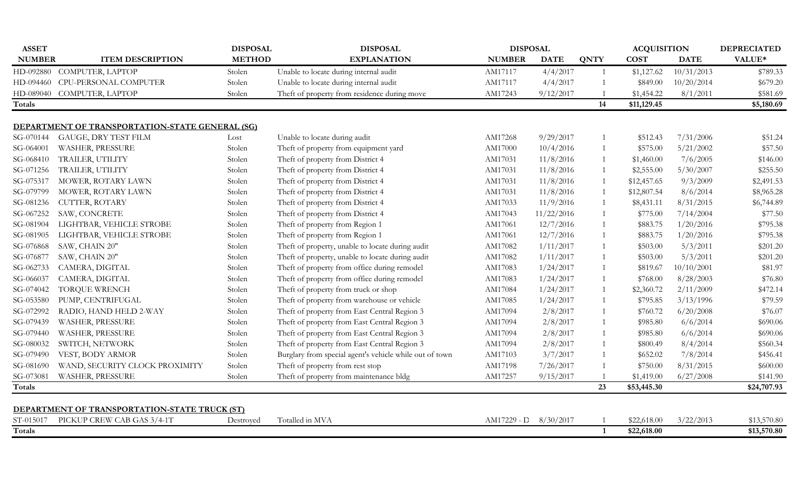| <b>ASSET</b>  |                                                 | <b>DISPOSAL</b> | <b>DISPOSAL</b>                                         | <b>DISPOSAL</b> |             |                | <b>ACQUISITION</b> |             | <b>DEPRECIATED</b> |
|---------------|-------------------------------------------------|-----------------|---------------------------------------------------------|-----------------|-------------|----------------|--------------------|-------------|--------------------|
| <b>NUMBER</b> | <b>ITEM DESCRIPTION</b>                         | <b>METHOD</b>   | <b>EXPLANATION</b>                                      | <b>NUMBER</b>   | <b>DATE</b> | <b>QNTY</b>    | <b>COST</b>        | <b>DATE</b> | VALUE*             |
|               | HD-092880 COMPUTER, LAPTOP                      | Stolen          | Unable to locate during internal audit                  | AM17117         | 4/4/2017    | $\overline{1}$ | \$1,127.62         | 10/31/2013  | \$789.33           |
|               | HD-094460 CPU-PERSONAL COMPUTER                 | Stolen          | Unable to locate during internal audit                  | AM17117         | 4/4/2017    |                | \$849.00           | 10/20/2014  | \$679.20           |
| HD-089040     | COMPUTER, LAPTOP                                | Stolen          | Theft of property from residence during move            | AM17243         | 9/12/2017   |                | \$1,454.22         | 8/1/2011    | \$581.69           |
| Totals        |                                                 |                 |                                                         |                 |             | 14             | \$11,129.45        |             | \$5,180.69         |
|               | DEPARTMENT OF TRANSPORTATION-STATE GENERAL (SG) |                 |                                                         |                 |             |                |                    |             |                    |
| SG-070144     | <b>GAUGE, DRY TEST FILM</b>                     | Lost            | Unable to locate during audit                           | AM17268         | 9/29/2017   |                | \$512.43           | 7/31/2006   | \$51.24            |
| SG-064001     | WASHER, PRESSURE                                | Stolen          | Theft of property from equipment yard                   | AM17000         | 10/4/2016   | $\overline{1}$ | \$575.00           | 5/21/2002   | \$57.50            |
| SG-068410     | TRAILER, UTILITY                                | Stolen          | Theft of property from District 4                       | AM17031         | 11/8/2016   |                | \$1,460.00         | 7/6/2005    | \$146.00           |
| SG-071256     | TRAILER, UTILITY                                | Stolen          | Theft of property from District 4                       | AM17031         | 11/8/2016   |                | \$2,555.00         | 5/30/2007   | \$255.50           |
| SG-075317     | MOWER, ROTARY LAWN                              | Stolen          | Theft of property from District 4                       | AM17031         | 11/8/2016   |                | \$12,457.65        | 9/3/2009    | \$2,491.53         |
| SG-079799     | MOWER, ROTARY LAWN                              | Stolen          | Theft of property from District 4                       | AM17031         | 11/8/2016   |                | \$12,807.54        | 8/6/2014    | \$8,965.28         |
| SG-081236     | CUTTER, ROTARY                                  | Stolen          | Theft of property from District 4                       | AM17033         | 11/9/2016   |                | \$8,431.11         | 8/31/2015   | \$6,744.89         |
| SG-067252     | SAW, CONCRETE                                   | Stolen          | Theft of property from District 4                       | AM17043         | 11/22/2016  |                | \$775.00           | 7/14/2004   | \$77.50            |
| SG-081904     | LIGHTBAR, VEHICLE STROBE                        | Stolen          | Theft of property from Region 1                         | AM17061         | 12/7/2016   | $\mathbf{1}$   | \$883.75           | 1/20/2016   | \$795.38           |
| SG-081905     | LIGHTBAR, VEHICLE STROBE                        | Stolen          | Theft of property from Region 1                         | AM17061         | 12/7/2016   |                | \$883.75           | 1/20/2016   | \$795.38           |
| SG-076868     | SAW, CHAIN 20"                                  | Stolen          | Theft of property, unable to locate during audit        | AM17082         | 1/11/2017   |                | \$503.00           | 5/3/2011    | \$201.20           |
| SG-076877     | SAW, CHAIN 20"                                  | Stolen          | Theft of property, unable to locate during audit        | AM17082         | 1/11/2017   |                | \$503.00           | 5/3/2011    | \$201.20           |
| SG-062733     | CAMERA, DIGITAL                                 | Stolen          | Theft of property from office during remodel            | AM17083         | 1/24/2017   | $\mathbf{1}$   | \$819.67           | 10/10/2001  | \$81.97            |
| SG-066037     | CAMERA, DIGITAL                                 | Stolen          | Theft of property from office during remodel            | AM17083         | 1/24/2017   | $\mathbf{1}$   | \$768.00           | 8/28/2003   | \$76.80            |
| SG-074042     | <b>TORQUE WRENCH</b>                            | Stolen          | Theft of property from truck or shop                    | AM17084         | 1/24/2017   |                | \$2,360.72         | 2/11/2009   | \$472.14           |
| SG-053580     | PUMP, CENTRIFUGAL                               | Stolen          | Theft of property from warehouse or vehicle             | AM17085         | 1/24/2017   |                | \$795.85           | 3/13/1996   | \$79.59            |
| SG-072992     | RADIO, HAND HELD 2-WAY                          | Stolen          | Theft of property from East Central Region 3            | AM17094         | 2/8/2017    |                | \$760.72           | 6/20/2008   | \$76.07            |
| SG-079439     | WASHER, PRESSURE                                | Stolen          | Theft of property from East Central Region 3            | AM17094         | 2/8/2017    |                | \$985.80           | 6/6/2014    | \$690.06           |
| SG-079440     | WASHER, PRESSURE                                | Stolen          | Theft of property from East Central Region 3            | AM17094         | 2/8/2017    |                | \$985.80           | 6/6/2014    | \$690.06           |
| SG-080032     | SWITCH, NETWORK                                 | Stolen          | Theft of property from East Central Region 3            | AM17094         | 2/8/2017    |                | \$800.49           | 8/4/2014    | \$560.34           |
| SG-079490     | VEST, BODY ARMOR                                | Stolen          | Burglary from special agent's vehicle while out of town | AM17103         | 3/7/2017    |                | \$652.02           | 7/8/2014    | \$456.41           |
| SG-081690     | WAND, SECURITY CLOCK PROXIMITY                  | Stolen          | Theft of property from rest stop                        | AM17198         | 7/26/2017   |                | \$750.00           | 8/31/2015   | \$600.00           |
| SG-073081     | WASHER, PRESSURE                                | Stolen          | Theft of property from maintenance bldg                 | AM17257         | 9/15/2017   |                | \$1,419.00         | 6/27/2008   | \$141.90           |
| Totals        |                                                 |                 |                                                         |                 |             | 23             | \$53,445.30        |             | \$24,707.93        |
|               | DEPARTMENT OF TRANSPORTATION-STATE TRUCK (ST)   |                 |                                                         |                 |             |                |                    |             |                    |
| ST-015017     | PICKUP CREW CAB GAS 3/4-1T                      | Destroyed       | Totalled in MVA                                         | AM17229 - D     | 8/30/2017   |                | \$22,618.00        | 3/22/2013   | \$13,570.80        |
| Totals        |                                                 |                 |                                                         |                 |             | $\mathbf{1}$   | \$22,618.00        |             | \$13,570.80        |
|               |                                                 |                 |                                                         |                 |             |                |                    |             |                    |